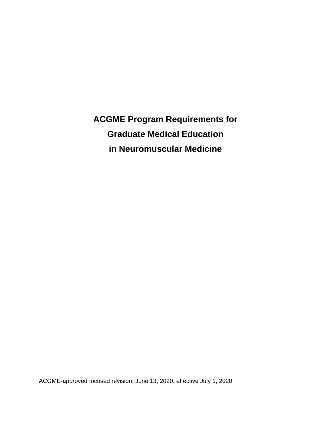**ACGME Program Requirements for Graduate Medical Education in Neuromuscular Medicine**

ACGME-approved focused revision: June 13, 2020; effective July 1, 2020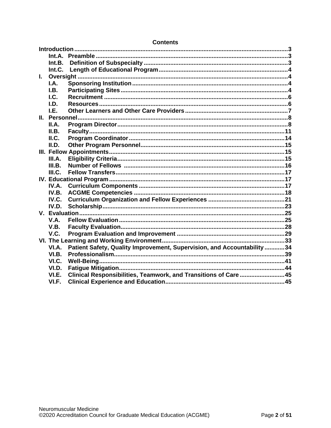| Int.B.<br>Int.C.<br>L.<br>I.A.<br>I.B.<br>I.C.<br>I.D.<br>I.E.<br>II.A.<br>II.B.<br>ILC.<br>II.D.<br>III.A.<br>III.B.<br>III.C.<br>IV.A.<br>IV.B.<br>IV.C.<br>IV.D.<br>V.A.<br>V.B.<br>V.C.<br>Patient Safety, Quality Improvement, Supervision, and Accountability  34<br>VI.A.<br>VI.B.<br>VI.C.<br>VI.D.<br>Clinical Responsibilities, Teamwork, and Transitions of Care 45<br>VI.E.<br>VI.F. |  |  |  |  |
|--------------------------------------------------------------------------------------------------------------------------------------------------------------------------------------------------------------------------------------------------------------------------------------------------------------------------------------------------------------------------------------------------|--|--|--|--|
|                                                                                                                                                                                                                                                                                                                                                                                                  |  |  |  |  |
|                                                                                                                                                                                                                                                                                                                                                                                                  |  |  |  |  |
|                                                                                                                                                                                                                                                                                                                                                                                                  |  |  |  |  |
|                                                                                                                                                                                                                                                                                                                                                                                                  |  |  |  |  |
|                                                                                                                                                                                                                                                                                                                                                                                                  |  |  |  |  |
|                                                                                                                                                                                                                                                                                                                                                                                                  |  |  |  |  |
|                                                                                                                                                                                                                                                                                                                                                                                                  |  |  |  |  |
|                                                                                                                                                                                                                                                                                                                                                                                                  |  |  |  |  |
|                                                                                                                                                                                                                                                                                                                                                                                                  |  |  |  |  |
|                                                                                                                                                                                                                                                                                                                                                                                                  |  |  |  |  |
|                                                                                                                                                                                                                                                                                                                                                                                                  |  |  |  |  |
|                                                                                                                                                                                                                                                                                                                                                                                                  |  |  |  |  |
|                                                                                                                                                                                                                                                                                                                                                                                                  |  |  |  |  |
|                                                                                                                                                                                                                                                                                                                                                                                                  |  |  |  |  |
|                                                                                                                                                                                                                                                                                                                                                                                                  |  |  |  |  |
|                                                                                                                                                                                                                                                                                                                                                                                                  |  |  |  |  |
|                                                                                                                                                                                                                                                                                                                                                                                                  |  |  |  |  |
|                                                                                                                                                                                                                                                                                                                                                                                                  |  |  |  |  |
|                                                                                                                                                                                                                                                                                                                                                                                                  |  |  |  |  |
|                                                                                                                                                                                                                                                                                                                                                                                                  |  |  |  |  |
|                                                                                                                                                                                                                                                                                                                                                                                                  |  |  |  |  |
|                                                                                                                                                                                                                                                                                                                                                                                                  |  |  |  |  |
|                                                                                                                                                                                                                                                                                                                                                                                                  |  |  |  |  |
|                                                                                                                                                                                                                                                                                                                                                                                                  |  |  |  |  |
|                                                                                                                                                                                                                                                                                                                                                                                                  |  |  |  |  |
|                                                                                                                                                                                                                                                                                                                                                                                                  |  |  |  |  |
|                                                                                                                                                                                                                                                                                                                                                                                                  |  |  |  |  |
|                                                                                                                                                                                                                                                                                                                                                                                                  |  |  |  |  |
|                                                                                                                                                                                                                                                                                                                                                                                                  |  |  |  |  |
|                                                                                                                                                                                                                                                                                                                                                                                                  |  |  |  |  |
|                                                                                                                                                                                                                                                                                                                                                                                                  |  |  |  |  |
|                                                                                                                                                                                                                                                                                                                                                                                                  |  |  |  |  |
|                                                                                                                                                                                                                                                                                                                                                                                                  |  |  |  |  |
|                                                                                                                                                                                                                                                                                                                                                                                                  |  |  |  |  |

#### **Contents**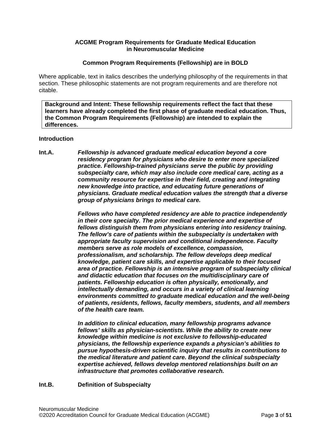### **ACGME Program Requirements for Graduate Medical Education in Neuromuscular Medicine**

### **Common Program Requirements (Fellowship) are in BOLD**

Where applicable, text in italics describes the underlying philosophy of the requirements in that section. These philosophic statements are not program requirements and are therefore not citable.

**Background and Intent: These fellowship requirements reflect the fact that these learners have already completed the first phase of graduate medical education. Thus, the Common Program Requirements (Fellowship) are intended to explain the differences.**

#### <span id="page-2-0"></span>**Introduction**

<span id="page-2-1"></span>**Int.A.** *Fellowship is advanced graduate medical education beyond a core residency program for physicians who desire to enter more specialized practice. Fellowship-trained physicians serve the public by providing subspecialty care, which may also include core medical care, acting as a community resource for expertise in their field, creating and integrating new knowledge into practice, and educating future generations of physicians. Graduate medical education values the strength that a diverse group of physicians brings to medical care.*

> *Fellows who have completed residency are able to practice independently in their core specialty. The prior medical experience and expertise of fellows distinguish them from physicians entering into residency training. The fellow's care of patients within the subspecialty is undertaken with appropriate faculty supervision and conditional independence. Faculty members serve as role models of excellence, compassion, professionalism, and scholarship. The fellow develops deep medical knowledge, patient care skills, and expertise applicable to their focused area of practice. Fellowship is an intensive program of subspecialty clinical and didactic education that focuses on the multidisciplinary care of patients. Fellowship education is often physically, emotionally, and intellectually demanding, and occurs in a variety of clinical learning environments committed to graduate medical education and the well-being of patients, residents, fellows, faculty members, students, and all members of the health care team.*

*In addition to clinical education, many fellowship programs advance fellows' skills as physician-scientists. While the ability to create new knowledge within medicine is not exclusive to fellowship-educated physicians, the fellowship experience expands a physician's abilities to pursue hypothesis-driven scientific inquiry that results in contributions to the medical literature and patient care. Beyond the clinical subspecialty expertise achieved, fellows develop mentored relationships built on an infrastructure that promotes collaborative research.*

## <span id="page-2-2"></span>**Int.B. Definition of Subspecialty**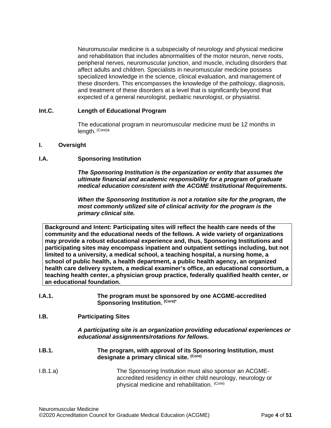Neuromuscular medicine is a subspecialty of neurology and physical medicine and rehabilitation that includes abnormalities of the motor neuron, nerve roots, peripheral nerves, neuromuscular junction, and muscle, including disorders that affect adults and children. Specialists in neuromuscular medicine possess specialized knowledge in the science, clinical evaluation, and management of these disorders. This encompasses the knowledge of the pathology, diagnosis, and treatment of these disorders at a level that is significantly beyond that expected of a general neurologist, pediatric neurologist, or physiatrist.

### <span id="page-3-0"></span>**Int.C. Length of Educational Program**

The educational program in neuromuscular medicine must be 12 months in length. (Core)\*

#### <span id="page-3-1"></span>**I. Oversight**

#### <span id="page-3-2"></span>**I.A. Sponsoring Institution**

*The Sponsoring Institution is the organization or entity that assumes the ultimate financial and academic responsibility for a program of graduate medical education consistent with the ACGME Institutional Requirements.*

*When the Sponsoring Institution is not a rotation site for the program, the most commonly utilized site of clinical activity for the program is the primary clinical site.*

**Background and Intent: Participating sites will reflect the health care needs of the community and the educational needs of the fellows. A wide variety of organizations may provide a robust educational experience and, thus, Sponsoring Institutions and participating sites may encompass inpatient and outpatient settings including, but not limited to a university, a medical school, a teaching hospital, a nursing home, a school of public health, a health department, a public health agency, an organized health care delivery system, a medical examiner's office, an educational consortium, a teaching health center, a physician group practice, federally qualified health center, or an educational foundation.**

| I.A.1. | The program must be sponsored by one ACGME-accredited |
|--------|-------------------------------------------------------|
|        | Sponsoring Institution. (Core)*                       |

## <span id="page-3-3"></span>**I.B. Participating Sites**

*A participating site is an organization providing educational experiences or educational assignments/rotations for fellows.*

- **I.B.1. The program, with approval of its Sponsoring Institution, must designate a primary clinical site. (Core)**
- I.B.1.a) The Sponsoring Institution must also sponsor an ACGMEaccredited residency in either child neurology, neurology or physical medicine and rehabilitation. (Core)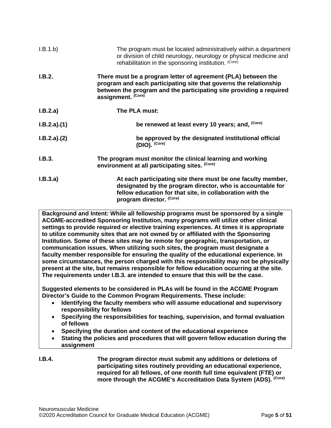| I.B.1.b)    | The program must be located administratively within a department<br>or division of child neurology, neurology or physical medicine and<br>rehabilitation in the sponsoring institution. (Core)                                  |
|-------------|---------------------------------------------------------------------------------------------------------------------------------------------------------------------------------------------------------------------------------|
| I.B.2.      | There must be a program letter of agreement (PLA) between the<br>program and each participating site that governs the relationship<br>between the program and the participating site providing a required<br>assignment. (Core) |
| I.B.2.a)    | The PLA must:                                                                                                                                                                                                                   |
| I.B.2.a)(1) | be renewed at least every 10 years; and, (Core)                                                                                                                                                                                 |
| I.B.2.a)(2) | be approved by the designated institutional official<br>(DIO). (Core)                                                                                                                                                           |
| I.B.3.      | The program must monitor the clinical learning and working<br>environment at all participating sites. (Core)                                                                                                                    |
| I.B.3.a)    | At each participating site there must be one faculty member,<br>designated by the program director, who is accountable for<br>fellow education for that site, in collaboration with the<br>program director. (Core)             |

**Background and Intent: While all fellowship programs must be sponsored by a single ACGME-accredited Sponsoring Institution, many programs will utilize other clinical settings to provide required or elective training experiences. At times it is appropriate to utilize community sites that are not owned by or affiliated with the Sponsoring Institution. Some of these sites may be remote for geographic, transportation, or communication issues. When utilizing such sites, the program must designate a faculty member responsible for ensuring the quality of the educational experience. In some circumstances, the person charged with this responsibility may not be physically present at the site, but remains responsible for fellow education occurring at the site. The requirements under I.B.3. are intended to ensure that this will be the case.**

**Suggested elements to be considered in PLAs will be found in the ACGME Program Director's Guide to the Common Program Requirements. These include:**

- **Identifying the faculty members who will assume educational and supervisory responsibility for fellows**
- **Specifying the responsibilities for teaching, supervision, and formal evaluation of fellows**
- **Specifying the duration and content of the educational experience**
- **Stating the policies and procedures that will govern fellow education during the assignment**
- **I.B.4. The program director must submit any additions or deletions of participating sites routinely providing an educational experience, required for all fellows, of one month full time equivalent (FTE) or more through the ACGME's Accreditation Data System (ADS). (Core)**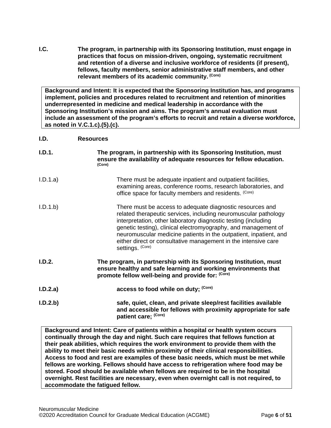<span id="page-5-0"></span>**I.C. The program, in partnership with its Sponsoring Institution, must engage in practices that focus on mission-driven, ongoing, systematic recruitment and retention of a diverse and inclusive workforce of residents (if present), fellows, faculty members, senior administrative staff members, and other relevant members of its academic community. (Core)**

**Background and Intent: It is expected that the Sponsoring Institution has, and programs implement, policies and procedures related to recruitment and retention of minorities underrepresented in medicine and medical leadership in accordance with the Sponsoring Institution's mission and aims. The program's annual evaluation must include an assessment of the program's efforts to recruit and retain a diverse workforce, as noted in V.C.1.c).(5).(c).**

#### <span id="page-5-1"></span>**I.D. Resources**

| I.D.1.   | The program, in partnership with its Sponsoring Institution, must<br>ensure the availability of adequate resources for fellow education.<br>(Core)                                                                                                                                                                                                                                                                          |  |
|----------|-----------------------------------------------------------------------------------------------------------------------------------------------------------------------------------------------------------------------------------------------------------------------------------------------------------------------------------------------------------------------------------------------------------------------------|--|
| I.D.1.a) | There must be adequate inpatient and outpatient facilities,<br>examining areas, conference rooms, research laboratories, and<br>office space for faculty members and residents. (Core)                                                                                                                                                                                                                                      |  |
| I.D.1.b  | There must be access to adequate diagnostic resources and<br>related therapeutic services, including neuromuscular pathology<br>interpretation, other laboratory diagnostic testing (including<br>genetic testing), clinical electromyography, and management of<br>neuromuscular medicine patients in the outpatient, inpatient, and<br>either direct or consultative management in the intensive care<br>settings. (Core) |  |
| I.D.2.   | The program, in partnership with its Sponsoring Institution, must<br>ensure healthy and safe learning and working environments that<br>promote fellow well-being and provide for: (Core)                                                                                                                                                                                                                                    |  |
| I.D.2.a) | access to food while on duty; (Core)                                                                                                                                                                                                                                                                                                                                                                                        |  |
| I.D.2.b) | safe, quiet, clean, and private sleep/rest facilities available<br>and accessible for fellows with proximity appropriate for safe<br>patient care; (Core)                                                                                                                                                                                                                                                                   |  |

**Background and Intent: Care of patients within a hospital or health system occurs continually through the day and night. Such care requires that fellows function at their peak abilities, which requires the work environment to provide them with the ability to meet their basic needs within proximity of their clinical responsibilities. Access to food and rest are examples of these basic needs, which must be met while fellows are working. Fellows should have access to refrigeration where food may be stored. Food should be available when fellows are required to be in the hospital overnight. Rest facilities are necessary, even when overnight call is not required, to accommodate the fatigued fellow.**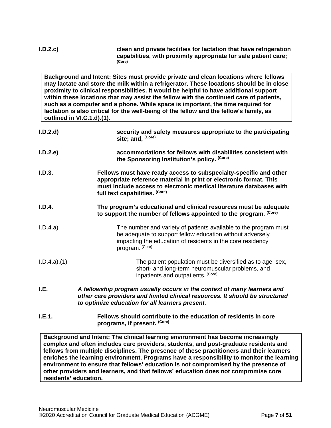| I.D.2.c                    | clean and private facilities for lactation that have refrigeration<br>capabilities, with proximity appropriate for safe patient care;<br>(Core)                                                                                                                                                                                                                                                                                                                                                                                                   |
|----------------------------|---------------------------------------------------------------------------------------------------------------------------------------------------------------------------------------------------------------------------------------------------------------------------------------------------------------------------------------------------------------------------------------------------------------------------------------------------------------------------------------------------------------------------------------------------|
| outlined in VI.C.1.d).(1). | Background and Intent: Sites must provide private and clean locations where fellows<br>may lactate and store the milk within a refrigerator. These locations should be in close<br>proximity to clinical responsibilities. It would be helpful to have additional support<br>within these locations that may assist the fellow with the continued care of patients,<br>such as a computer and a phone. While space is important, the time required for<br>lactation is also critical for the well-being of the fellow and the fellow's family, as |
| I.D.2.d                    | security and safety measures appropriate to the participating<br>site; and, (Core)                                                                                                                                                                                                                                                                                                                                                                                                                                                                |
| I.D.2.e                    | accommodations for fellows with disabilities consistent with<br>the Sponsoring Institution's policy. (Core)                                                                                                                                                                                                                                                                                                                                                                                                                                       |
| I.D.3.                     | Fellows must have ready access to subspecialty-specific and other<br>appropriate reference material in print or electronic format. This<br>must include access to electronic medical literature databases with<br>full text capabilities. (Core)                                                                                                                                                                                                                                                                                                  |
| I.D.4.                     | The program's educational and clinical resources must be adequate<br>to support the number of fellows appointed to the program. (Core)                                                                                                                                                                                                                                                                                                                                                                                                            |
| I.D.4.a)                   | The number and variety of patients available to the program must<br>be adequate to support fellow education without adversely<br>impacting the education of residents in the core residency<br>program. (Core)                                                                                                                                                                                                                                                                                                                                    |
| I.D.4.a)(1)                | The patient population must be diversified as to age, sex,<br>short- and long-term neuromuscular problems, and<br>inpatients and outpatients. (Core)                                                                                                                                                                                                                                                                                                                                                                                              |
| I.E.                       | A fellowship program usually occurs in the context of many learners and<br>other care providers and limited clinical resources. It should be structured<br>to optimize education for all learners present.                                                                                                                                                                                                                                                                                                                                        |
| I.E.1.                     | Fellows should contribute to the education of residents in core<br>programs, if present. (Core)                                                                                                                                                                                                                                                                                                                                                                                                                                                   |
|                            | Background and Intent: The clinical learning environment has become increasingly<br>complex and often includes care providers, students, and post-graduate residents and<br>fellows from multiple disciplines. The presence of these practitioners and their learners<br>enriches the learning environment. Programs have a responsibility to monitor the learning<br>environment to ensure that fellows' education is not compromised by the presence of                                                                                         |

<span id="page-6-0"></span>**other providers and learners, and that fellows' education does not compromise core residents' education.**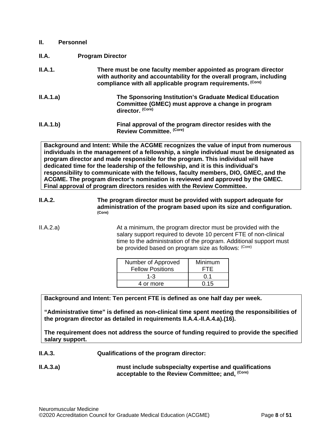<span id="page-7-1"></span><span id="page-7-0"></span>

| $\mathbf{II}$ . | <b>Personnel</b>                                                                                                                                                                                      |
|-----------------|-------------------------------------------------------------------------------------------------------------------------------------------------------------------------------------------------------|
| II.A.           | <b>Program Director</b>                                                                                                                                                                               |
| II.A.1.         | There must be one faculty member appointed as program director<br>with authority and accountability for the overall program, including<br>compliance with all applicable program requirements. (Core) |
| II.A.1.a)       | The Sponsoring Institution's Graduate Medical Education<br>Committee (GMEC) must approve a change in program<br>director. (Core)                                                                      |
| II.A.1.b)       | Final approval of the program director resides with the<br>Review Committee. (Core)                                                                                                                   |

**Background and Intent: While the ACGME recognizes the value of input from numerous individuals in the management of a fellowship, a single individual must be designated as program director and made responsible for the program. This individual will have dedicated time for the leadership of the fellowship, and it is this individual's responsibility to communicate with the fellows, faculty members, DIO, GMEC, and the ACGME. The program director's nomination is reviewed and approved by the GMEC. Final approval of program directors resides with the Review Committee.**

- **II.A.2. The program director must be provided with support adequate for administration of the program based upon its size and configuration. (Core)**
- II.A.2.a) At a minimum, the program director must be provided with the salary support required to devote 10 percent FTE of non-clinical time to the administration of the program. Additional support must be provided based on program size as follows: (Core)

| Number of Approved<br><b>Fellow Positions</b> | Minimum<br>FTF. |
|-----------------------------------------------|-----------------|
| $1 - 3$                                       | በ 1             |
| 4 or more                                     | 0.15            |

**Background and Intent: Ten percent FTE is defined as one half day per week.**

**"Administrative time" is defined as non-clinical time spent meeting the responsibilities of the program director as detailed in requirements II.A.4.-II.A.4.a).(16).** 

**The requirement does not address the source of funding required to provide the specified salary support.**

- **II.A.3. Qualifications of the program director:**
- **II.A.3.a) must include subspecialty expertise and qualifications acceptable to the Review Committee; and, (Core)**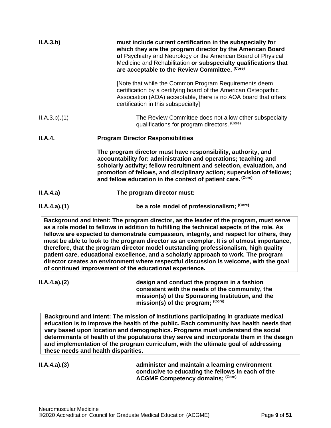| II.A.3.b)   | must include current certification in the subspecialty for<br>which they are the program director by the American Board<br>of Psychiatry and Neurology or the American Board of Physical<br>Medicine and Rehabilitation or subspecialty qualifications that<br>are acceptable to the Review Committee. (Core)                                      |
|-------------|----------------------------------------------------------------------------------------------------------------------------------------------------------------------------------------------------------------------------------------------------------------------------------------------------------------------------------------------------|
|             | [Note that while the Common Program Requirements deem<br>certification by a certifying board of the American Osteopathic<br>Association (AOA) acceptable, there is no AOA board that offers<br>certification in this subspecialty]                                                                                                                 |
| ILA.3.b)(1) | The Review Committee does not allow other subspecialty<br>qualifications for program directors. (Core)                                                                                                                                                                                                                                             |
| II.A.4.     | <b>Program Director Responsibilities</b>                                                                                                                                                                                                                                                                                                           |
|             | The program director must have responsibility, authority, and<br>accountability for: administration and operations; teaching and<br>scholarly activity; fellow recruitment and selection, evaluation, and<br>promotion of fellows, and disciplinary action; supervision of fellows;<br>and fellow education in the context of patient care. (Core) |
| II.A.4.a)   | The program director must:                                                                                                                                                                                                                                                                                                                         |
| ILA.4.a)(1) | be a role model of professionalism; (Core)                                                                                                                                                                                                                                                                                                         |

**Background and Intent: The program director, as the leader of the program, must serve as a role model to fellows in addition to fulfilling the technical aspects of the role. As fellows are expected to demonstrate compassion, integrity, and respect for others, they must be able to look to the program director as an exemplar. It is of utmost importance, therefore, that the program director model outstanding professionalism, high quality patient care, educational excellence, and a scholarly approach to work. The program director creates an environment where respectful discussion is welcome, with the goal of continued improvement of the educational experience.**

**II.A.4.a).(2) design and conduct the program in a fashion consistent with the needs of the community, the mission(s) of the Sponsoring Institution, and the mission(s) of the program; (Core)**

**Background and Intent: The mission of institutions participating in graduate medical education is to improve the health of the public. Each community has health needs that vary based upon location and demographics. Programs must understand the social determinants of health of the populations they serve and incorporate them in the design and implementation of the program curriculum, with the ultimate goal of addressing these needs and health disparities.** 

**II.A.4.a).(3) administer and maintain a learning environment conducive to educating the fellows in each of the ACGME Competency domains; (Core)**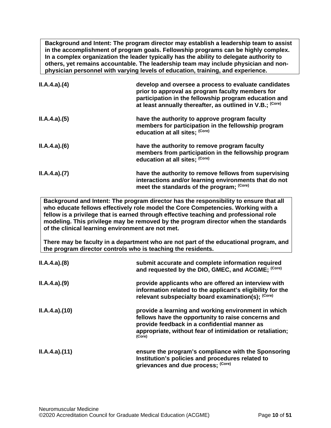**Background and Intent: The program director may establish a leadership team to assist in the accomplishment of program goals. Fellowship programs can be highly complex. In a complex organization the leader typically has the ability to delegate authority to others, yet remains accountable. The leadership team may include physician and nonphysician personnel with varying levels of education, training, and experience.**

| ILA.4.a)(4) | develop and oversee a process to evaluate candidates<br>prior to approval as program faculty members for<br>participation in the fellowship program education and<br>at least annually thereafter, as outlined in V.B.; (Core) |
|-------------|--------------------------------------------------------------------------------------------------------------------------------------------------------------------------------------------------------------------------------|
| ILA.4.a)(5) | have the authority to approve program faculty<br>members for participation in the fellowship program<br>education at all sites; (Core)                                                                                         |
| ILA.4.a)(6) | have the authority to remove program faculty<br>members from participation in the fellowship program<br>education at all sites; (Core)                                                                                         |
| ILA.4.a)(7) | have the authority to remove fellows from supervising<br>interactions and/or learning environments that do not<br>meet the standards of the program; (Core)                                                                    |

**Background and Intent: The program director has the responsibility to ensure that all who educate fellows effectively role model the Core Competencies. Working with a fellow is a privilege that is earned through effective teaching and professional role modeling. This privilege may be removed by the program director when the standards of the clinical learning environment are not met.**

**There may be faculty in a department who are not part of the educational program, and the program director controls who is teaching the residents.**

| ILA.4.a)(8)  | submit accurate and complete information required<br>and requested by the DIO, GMEC, and ACGME; (Core)                                                                                                                           |
|--------------|----------------------------------------------------------------------------------------------------------------------------------------------------------------------------------------------------------------------------------|
| ILA.4.a)(9)  | provide applicants who are offered an interview with<br>information related to the applicant's eligibility for the<br>relevant subspecialty board examination(s); (Core)                                                         |
| ILA.4.a)(10) | provide a learning and working environment in which<br>fellows have the opportunity to raise concerns and<br>provide feedback in a confidential manner as<br>appropriate, without fear of intimidation or retaliation;<br>(Core) |
| ILA.4.a)(11) | ensure the program's compliance with the Sponsoring<br>Institution's policies and procedures related to<br>grievances and due process; (Core)                                                                                    |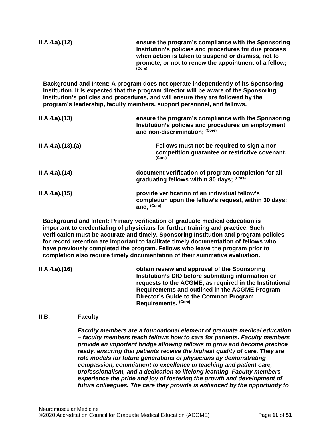| ILA.4.a)(12)    | ensure the program's compliance with the Sponsoring<br>Institution's policies and procedures for due process<br>when action is taken to suspend or dismiss, not to<br>promote, or not to renew the appointment of a fellow;<br>(Core)                                                                                                   |
|-----------------|-----------------------------------------------------------------------------------------------------------------------------------------------------------------------------------------------------------------------------------------------------------------------------------------------------------------------------------------|
|                 | Background and Intent: A program does not operate independently of its Sponsoring<br>Institution. It is expected that the program director will be aware of the Sponsoring<br>Institution's policies and procedures, and will ensure they are followed by the<br>program's leadership, faculty members, support personnel, and fellows. |
| ILA.4.a)(13)    | ensure the program's compliance with the Sponsoring<br>Institution's policies and procedures on employment<br>and non-discrimination; (Core)                                                                                                                                                                                            |
| ILA.4.a)(13)(a) | Fellows must not be required to sign a non-<br>competition guarantee or restrictive covenant.<br>(Core)                                                                                                                                                                                                                                 |

| ILA.4.a)(14) | document verification of program completion for all<br>graduating fellows within 30 days; (Core)                       |
|--------------|------------------------------------------------------------------------------------------------------------------------|
| ILA.4.a)(15) | provide verification of an individual fellow's<br>completion upon the fellow's request, within 30 days;<br>and, (Core) |

**Background and Intent: Primary verification of graduate medical education is important to credentialing of physicians for further training and practice. Such verification must be accurate and timely. Sponsoring Institution and program policies for record retention are important to facilitate timely documentation of fellows who have previously completed the program. Fellows who leave the program prior to completion also require timely documentation of their summative evaluation.**

**II.A.4.a).(16) obtain review and approval of the Sponsoring Institution's DIO before submitting information or requests to the ACGME, as required in the Institutional Requirements and outlined in the ACGME Program Director's Guide to the Common Program Requirements. (Core)**

#### <span id="page-10-0"></span>**II.B. Faculty**

*Faculty members are a foundational element of graduate medical education – faculty members teach fellows how to care for patients. Faculty members provide an important bridge allowing fellows to grow and become practice ready, ensuring that patients receive the highest quality of care. They are role models for future generations of physicians by demonstrating compassion, commitment to excellence in teaching and patient care, professionalism, and a dedication to lifelong learning. Faculty members experience the pride and joy of fostering the growth and development of future colleagues. The care they provide is enhanced by the opportunity to*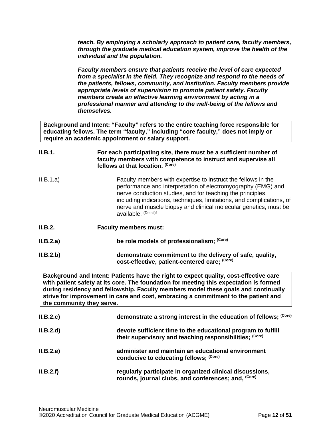*teach. By employing a scholarly approach to patient care, faculty members, through the graduate medical education system, improve the health of the individual and the population.*

*Faculty members ensure that patients receive the level of care expected from a specialist in the field. They recognize and respond to the needs of the patients, fellows, community, and institution. Faculty members provide appropriate levels of supervision to promote patient safety. Faculty members create an effective learning environment by acting in a professional manner and attending to the well-being of the fellows and themselves.*

**Background and Intent: "Faculty" refers to the entire teaching force responsible for educating fellows. The term "faculty," including "core faculty," does not imply or require an academic appointment or salary support.**

| II.B.1.   | For each participating site, there must be a sufficient number of<br>faculty members with competence to instruct and supervise all<br>fellows at that location. (Core)                                                                                                                                                                                           |
|-----------|------------------------------------------------------------------------------------------------------------------------------------------------------------------------------------------------------------------------------------------------------------------------------------------------------------------------------------------------------------------|
| II.B.1.a) | Faculty members with expertise to instruct the fellows in the<br>performance and interpretation of electromyography (EMG) and<br>nerve conduction studies, and for teaching the principles,<br>including indications, techniques, limitations, and complications, of<br>nerve and muscle biopsy and clinical molecular genetics, must be<br>available. (Detail)t |
| II.B.2.   | <b>Faculty members must:</b>                                                                                                                                                                                                                                                                                                                                     |
| II.B.2.a) | be role models of professionalism; (Core)                                                                                                                                                                                                                                                                                                                        |
| II.B.2.b) | demonstrate commitment to the delivery of safe, quality,<br>cost-effective, patient-centered care; (Core)                                                                                                                                                                                                                                                        |

**Background and Intent: Patients have the right to expect quality, cost-effective care with patient safety at its core. The foundation for meeting this expectation is formed during residency and fellowship. Faculty members model these goals and continually strive for improvement in care and cost, embracing a commitment to the patient and the community they serve.**

| II.B.2.c  | demonstrate a strong interest in the education of fellows: (Core)                                                       |
|-----------|-------------------------------------------------------------------------------------------------------------------------|
| II.B.2.d  | devote sufficient time to the educational program to fulfill<br>their supervisory and teaching responsibilities; (Core) |
| II.B.2.e  | administer and maintain an educational environment<br>conducive to educating fellows; (Core)                            |
| II.B.2.f) | regularly participate in organized clinical discussions,<br>rounds, journal clubs, and conferences; and, (Core)         |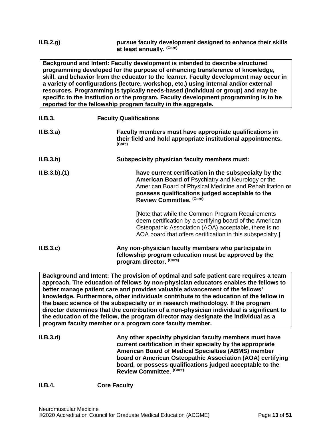| II.B.2.g. | pursue faculty development designed to enhance their skills |
|-----------|-------------------------------------------------------------|
|           | at least annually. (Core)                                   |

**Background and Intent: Faculty development is intended to describe structured programming developed for the purpose of enhancing transference of knowledge, skill, and behavior from the educator to the learner. Faculty development may occur in a variety of configurations (lecture, workshop, etc.) using internal and/or external resources. Programming is typically needs-based (individual or group) and may be specific to the institution or the program. Faculty development programming is to be reported for the fellowship program faculty in the aggregate.**

| II.B.3.     | <b>Faculty Qualifications</b>                                                                                                                                                                                                                          |
|-------------|--------------------------------------------------------------------------------------------------------------------------------------------------------------------------------------------------------------------------------------------------------|
| II.B.3.a)   | Faculty members must have appropriate qualifications in<br>their field and hold appropriate institutional appointments.<br>(Core)                                                                                                                      |
| II.B.3.b)   | Subspecialty physician faculty members must:                                                                                                                                                                                                           |
| ILB.3.b)(1) | have current certification in the subspecialty by the<br>American Board of Psychiatry and Neurology or the<br>American Board of Physical Medicine and Rehabilitation or<br>possess qualifications judged acceptable to the<br>Review Committee. (Core) |
|             | [Note that while the Common Program Requirements<br>deem certification by a certifying board of the American<br>Osteopathic Association (AOA) acceptable, there is no<br>AOA board that offers certification in this subspecialty.                     |
| II.B.3.c    | Any non-physician faculty members who participate in<br>fellowship program education must be approved by the<br>program director. (Core)                                                                                                               |

**Background and Intent: The provision of optimal and safe patient care requires a team approach. The education of fellows by non-physician educators enables the fellows to better manage patient care and provides valuable advancement of the fellows' knowledge. Furthermore, other individuals contribute to the education of the fellow in the basic science of the subspecialty or in research methodology. If the program director determines that the contribution of a non-physician individual is significant to the education of the fellow, the program director may designate the individual as a program faculty member or a program core faculty member.**

| II.B.3.d | Any other specialty physician faculty members must have<br>current certification in their specialty by the appropriate<br><b>American Board of Medical Specialties (ABMS) member</b><br>board or American Osteopathic Association (AOA) certifying<br>board, or possess qualifications judged acceptable to the<br>Review Committee. (Core) |
|----------|---------------------------------------------------------------------------------------------------------------------------------------------------------------------------------------------------------------------------------------------------------------------------------------------------------------------------------------------|
|----------|---------------------------------------------------------------------------------------------------------------------------------------------------------------------------------------------------------------------------------------------------------------------------------------------------------------------------------------------|

#### **II.B.4. Core Faculty**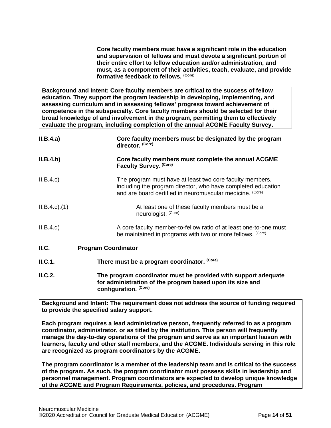**Core faculty members must have a significant role in the education and supervision of fellows and must devote a significant portion of their entire effort to fellow education and/or administration, and must, as a component of their activities, teach, evaluate, and provide formative feedback to fellows. (Core)**

**Background and Intent: Core faculty members are critical to the success of fellow education. They support the program leadership in developing, implementing, and assessing curriculum and in assessing fellows' progress toward achievement of competence in the subspecialty. Core faculty members should be selected for their broad knowledge of and involvement in the program, permitting them to effectively evaluate the program, including completion of the annual ACGME Faculty Survey.**

| II.B.4.a)         | Core faculty members must be designated by the program<br>director. (Core)                                                                                                            |
|-------------------|---------------------------------------------------------------------------------------------------------------------------------------------------------------------------------------|
| II.B.4.b)         | Core faculty members must complete the annual ACGME<br>Faculty Survey. (Core)                                                                                                         |
| II.B.4.c          | The program must have at least two core faculty members,<br>including the program director, who have completed education<br>and are board certified in neuromuscular medicine. (Core) |
| $ILB.4.c$ . $(1)$ | At least one of these faculty members must be a<br>neurologist. (Core)                                                                                                                |
| II.B.4.d          | A core faculty member-to-fellow ratio of at least one-to-one must<br>be maintained in programs with two or more fellows. (Core)                                                       |
| II.C.             | <b>Program Coordinator</b>                                                                                                                                                            |
| II.C.1.           | There must be a program coordinator. (Core)                                                                                                                                           |
| ILC.2.            | The program coordinator must be provided with support adequate<br>for administration of the program based upon its size and                                                           |

<span id="page-13-0"></span>**Background and Intent: The requirement does not address the source of funding required to provide the specified salary support.**

**Each program requires a lead administrative person, frequently referred to as a program coordinator, administrator, or as titled by the institution. This person will frequently manage the day-to-day operations of the program and serve as an important liaison with learners, faculty and other staff members, and the ACGME. Individuals serving in this role are recognized as program coordinators by the ACGME.**

**The program coordinator is a member of the leadership team and is critical to the success of the program. As such, the program coordinator must possess skills in leadership and personnel management. Program coordinators are expected to develop unique knowledge of the ACGME and Program Requirements, policies, and procedures. Program** 

**configuration. (Core)**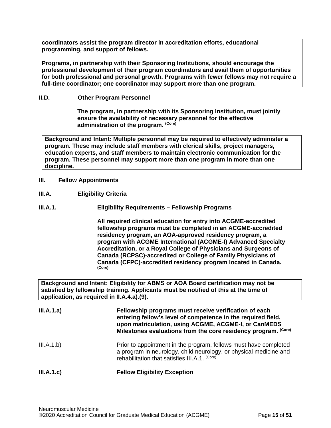**coordinators assist the program director in accreditation efforts, educational programming, and support of fellows.**

**Programs, in partnership with their Sponsoring Institutions, should encourage the professional development of their program coordinators and avail them of opportunities for both professional and personal growth. Programs with fewer fellows may not require a full-time coordinator; one coordinator may support more than one program.** 

# <span id="page-14-0"></span>**II.D. Other Program Personnel**

**The program, in partnership with its Sponsoring Institution***,* **must jointly ensure the availability of necessary personnel for the effective administration of the program. (Core)**

**Background and Intent: Multiple personnel may be required to effectively administer a program. These may include staff members with clerical skills, project managers, education experts, and staff members to maintain electronic communication for the program. These personnel may support more than one program in more than one discipline.**

- <span id="page-14-1"></span>**III. Fellow Appointments**
- <span id="page-14-2"></span>**III.A. Eligibility Criteria**

## **III.A.1. Eligibility Requirements – Fellowship Programs**

**All required clinical education for entry into ACGME-accredited fellowship programs must be completed in an ACGME-accredited residency program, an AOA-approved residency program, a program with ACGME International (ACGME-I) Advanced Specialty Accreditation, or a Royal College of Physicians and Surgeons of Canada (RCPSC)-accredited or College of Family Physicians of Canada (CFPC)-accredited residency program located in Canada. (Core)**

**Background and Intent: Eligibility for ABMS or AOA Board certification may not be satisfied by fellowship training. Applicants must be notified of this at the time of application, as required in II.A.4.a).(9).**

| III.A.1.a) | Fellowship programs must receive verification of each<br>entering fellow's level of competence in the required field,<br>upon matriculation, using ACGME, ACGME-I, or CanMEDS<br>Milestones evaluations from the core residency program. (Core) |
|------------|-------------------------------------------------------------------------------------------------------------------------------------------------------------------------------------------------------------------------------------------------|
| III.A.1.b) | Prior to appointment in the program, fellows must have completed<br>a program in neurology, child neurology, or physical medicine and<br>rehabilitation that satisfies III.A.1. (Core)                                                          |
| III.A.1.c) | <b>Fellow Eligibility Exception</b>                                                                                                                                                                                                             |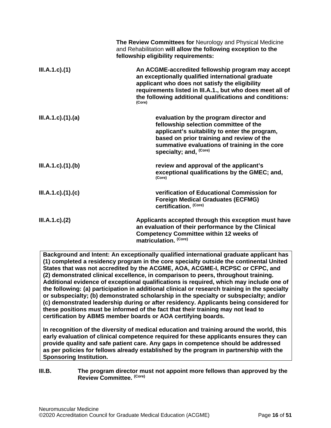|                      | The Review Committees for Neurology and Physical Medicine<br>and Rehabilitation will allow the following exception to the<br>fellowship eligibility requirements:                                                                                                                          |
|----------------------|--------------------------------------------------------------------------------------------------------------------------------------------------------------------------------------------------------------------------------------------------------------------------------------------|
| $III.A.1.c$ ). $(1)$ | An ACGME-accredited fellowship program may accept<br>an exceptionally qualified international graduate<br>applicant who does not satisfy the eligibility<br>requirements listed in III.A.1., but who does meet all of<br>the following additional qualifications and conditions:<br>(Core) |
| III.A.1.c)(1).(a)    | evaluation by the program director and<br>fellowship selection committee of the<br>applicant's suitability to enter the program,<br>based on prior training and review of the<br>summative evaluations of training in the core<br>specialty; and, <sup>(Core)</sup>                        |
| III.A.1.c)(1)(b)     | review and approval of the applicant's<br>exceptional qualifications by the GMEC; and,<br>(Core)                                                                                                                                                                                           |
| III.A.1.c)(1)(c)     | verification of Educational Commission for<br><b>Foreign Medical Graduates (ECFMG)</b><br>certification. (Core)                                                                                                                                                                            |
| $III.A.1.c$ ). $(2)$ | Applicants accepted through this exception must have<br>an evaluation of their performance by the Clinical<br><b>Competency Committee within 12 weeks of</b><br>matriculation. (Core)                                                                                                      |

**Background and Intent: An exceptionally qualified international graduate applicant has (1) completed a residency program in the core specialty outside the continental United States that was not accredited by the ACGME, AOA, ACGME-I, RCPSC or CFPC, and (2) demonstrated clinical excellence, in comparison to peers, throughout training. Additional evidence of exceptional qualifications is required, which may include one of the following: (a) participation in additional clinical or research training in the specialty or subspecialty; (b) demonstrated scholarship in the specialty or subspecialty; and/or (c) demonstrated leadership during or after residency. Applicants being considered for these positions must be informed of the fact that their training may not lead to certification by ABMS member boards or AOA certifying boards.**

**In recognition of the diversity of medical education and training around the world, this early evaluation of clinical competence required for these applicants ensures they can provide quality and safe patient care. Any gaps in competence should be addressed as per policies for fellows already established by the program in partnership with the Sponsoring Institution.**

## <span id="page-15-0"></span>**III.B. The program director must not appoint more fellows than approved by the Review Committee. (Core)**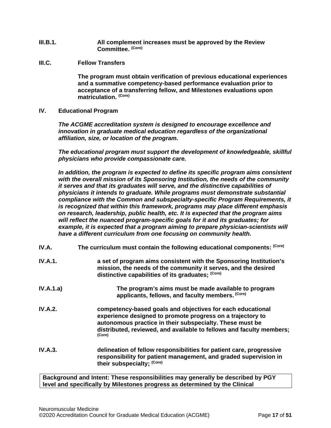- **III.B.1. All complement increases must be approved by the Review Committee. (Core)**
- <span id="page-16-0"></span>**III.C. Fellow Transfers**

**The program must obtain verification of previous educational experiences and a summative competency-based performance evaluation prior to acceptance of a transferring fellow, and Milestones evaluations upon matriculation. (Core)**

<span id="page-16-1"></span>**IV. Educational Program**

*The ACGME accreditation system is designed to encourage excellence and innovation in graduate medical education regardless of the organizational affiliation, size, or location of the program.*

*The educational program must support the development of knowledgeable, skillful physicians who provide compassionate care.*

*In addition, the program is expected to define its specific program aims consistent with the overall mission of its Sponsoring Institution, the needs of the community it serves and that its graduates will serve, and the distinctive capabilities of physicians it intends to graduate. While programs must demonstrate substantial compliance with the Common and subspecialty-specific Program Requirements, it is recognized that within this framework, programs may place different emphasis on research, leadership, public health, etc. It is expected that the program aims will reflect the nuanced program-specific goals for it and its graduates; for example, it is expected that a program aiming to prepare physician-scientists will have a different curriculum from one focusing on community health.*

<span id="page-16-2"></span>

| IV.A.          | The curriculum must contain the following educational components: (Core)                                                                                                                                                                                               |
|----------------|------------------------------------------------------------------------------------------------------------------------------------------------------------------------------------------------------------------------------------------------------------------------|
| IV.A.1.        | a set of program aims consistent with the Sponsoring Institution's<br>mission, the needs of the community it serves, and the desired<br>distinctive capabilities of its graduates; (Core)                                                                              |
| IV.A.1.a)      | The program's aims must be made available to program<br>applicants, fellows, and faculty members. (Core)                                                                                                                                                               |
| <b>IV.A.2.</b> | competency-based goals and objectives for each educational<br>experience designed to promote progress on a trajectory to<br>autonomous practice in their subspecialty. These must be<br>distributed, reviewed, and available to fellows and faculty members;<br>(Core) |
| IV.A.3.        | delineation of fellow responsibilities for patient care, progressive<br>responsibility for patient management, and graded supervision in<br>their subspecialty; (Core)                                                                                                 |

**Background and Intent: These responsibilities may generally be described by PGY level and specifically by Milestones progress as determined by the Clinical**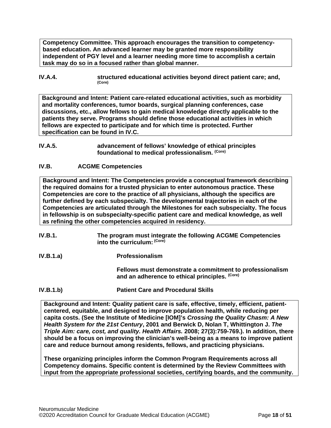**Competency Committee. This approach encourages the transition to competencybased education. An advanced learner may be granted more responsibility independent of PGY level and a learner needing more time to accomplish a certain task may do so in a focused rather than global manner.**

**IV.A.4. structured educational activities beyond direct patient care; and,**  $(Core)$ 

**Background and Intent: Patient care-related educational activities, such as morbidity and mortality conferences, tumor boards, surgical planning conferences, case discussions, etc., allow fellows to gain medical knowledge directly applicable to the patients they serve. Programs should define those educational activities in which fellows are expected to participate and for which time is protected. Further specification can be found in IV.C.**

## <span id="page-17-0"></span>**IV.B. ACGME Competencies**

**Background and Intent: The Competencies provide a conceptual framework describing the required domains for a trusted physician to enter autonomous practice. These Competencies are core to the practice of all physicians, although the specifics are further defined by each subspecialty. The developmental trajectories in each of the Competencies are articulated through the Milestones for each subspecialty. The focus in fellowship is on subspecialty-specific patient care and medical knowledge, as well as refining the other competencies acquired in residency.**

- **IV.B.1. The program must integrate the following ACGME Competencies into the curriculum: (Core)**
- **IV.B.1.a) Professionalism**

**Fellows must demonstrate a commitment to professionalism and an adherence to ethical principles. (Core)**

**IV.B.1.b) Patient Care and Procedural Skills**

**Background and Intent: Quality patient care is safe, effective, timely, efficient, patientcentered, equitable, and designed to improve population health, while reducing per capita costs. (See the Institute of Medicine [IOM]'s** *Crossing the Quality Chasm: A New Health System for the 21st Century***, 2001 and Berwick D, Nolan T, Whittington J.** *The Triple Aim: care, cost, and quality. Health Affairs.* **2008; 27(3):759-769.). In addition, there should be a focus on improving the clinician's well-being as a means to improve patient care and reduce burnout among residents, fellows, and practicing physicians.**

**These organizing principles inform the Common Program Requirements across all Competency domains. Specific content is determined by the Review Committees with input from the appropriate professional societies, certifying boards, and the community.**

**IV.A.5. advancement of fellows' knowledge of ethical principles foundational to medical professionalism. (Core)**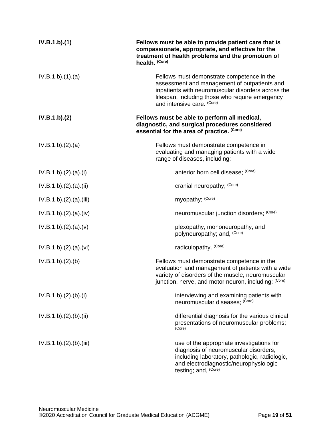| IV.B.1.b)(1)          | Fellows must be able to provide patient care that is<br>compassionate, appropriate, and effective for the<br>treatment of health problems and the promotion of<br>health. (Core)                                                  |
|-----------------------|-----------------------------------------------------------------------------------------------------------------------------------------------------------------------------------------------------------------------------------|
| IV.B.1.b)(1)(a)       | Fellows must demonstrate competence in the<br>assessment and management of outpatients and<br>inpatients with neuromuscular disorders across the<br>lifespan, including those who require emergency<br>and intensive care. (Core) |
| IV.B.1.b)(2)          | Fellows must be able to perform all medical,<br>diagnostic, and surgical procedures considered<br>essential for the area of practice. (Core)                                                                                      |
| IV.B.1.b)(2).(a)      | Fellows must demonstrate competence in<br>evaluating and managing patients with a wide<br>range of diseases, including:                                                                                                           |
| IV.B.1.b)(2).(a)(i)   | anterior horn cell disease; (Core)                                                                                                                                                                                                |
| IV.B.1.b)(2).(a)(ii)  | cranial neuropathy; (Core)                                                                                                                                                                                                        |
| IV.B.1.b)(2).(a)(iii) | myopathy; (Core)                                                                                                                                                                                                                  |
| IV.B.1.b)(2).(a)(iv)  | neuromuscular junction disorders; (Core)                                                                                                                                                                                          |
| IV.B.1.b)(2).(a)(v)   | plexopathy, mononeuropathy, and<br>polyneuropathy; and, (Core)                                                                                                                                                                    |
| IV.B.1.b)(2).(a)(vi)  | radiculopathy. (Core)                                                                                                                                                                                                             |
| IV.B.1.b)(2)(b)       | Fellows must demonstrate competence in the<br>evaluation and management of patients with a wide<br>variety of disorders of the muscle, neuromuscular<br>junction, nerve, and motor neuron, including: (Core)                      |
| IV.B.1.b)(2)(b)(i)    | interviewing and examining patients with<br>neuromuscular diseases; (Core)                                                                                                                                                        |
| IV.B.1.b)(2).(b).(ii) | differential diagnosis for the various clinical<br>presentations of neuromuscular problems;<br>(Core)                                                                                                                             |
| IV.B.1.b)(2)(b)(iii)  | use of the appropriate investigations for<br>diagnosis of neuromuscular disorders,<br>including laboratory, pathologic, radiologic,<br>and electrodiagnostic/neurophysiologic<br>testing; and, (Core)                             |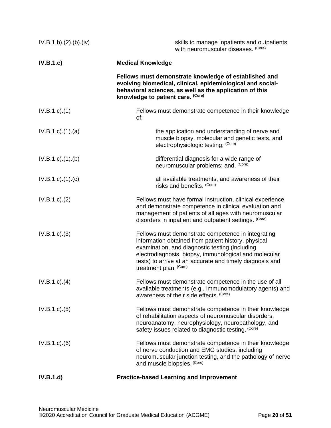| IV.B.1.b)(2)(b)(iv)       | skills to manage inpatients and outpatients<br>with neuromuscular diseases. (Core)                                                                                                                                                                                                                         |
|---------------------------|------------------------------------------------------------------------------------------------------------------------------------------------------------------------------------------------------------------------------------------------------------------------------------------------------------|
| IV.B.1.c                  | <b>Medical Knowledge</b>                                                                                                                                                                                                                                                                                   |
|                           | Fellows must demonstrate knowledge of established and<br>evolving biomedical, clinical, epidemiological and social-<br>behavioral sciences, as well as the application of this<br>knowledge to patient care. (Core)                                                                                        |
| $IV.B.1.c$ ). $(1)$       | Fellows must demonstrate competence in their knowledge<br>of:                                                                                                                                                                                                                                              |
| $IV.B.1.c$ . $(1).$ $(a)$ | the application and understanding of nerve and<br>muscle biopsy, molecular and genetic tests, and<br>electrophysiologic testing; (Core)                                                                                                                                                                    |
| $IV.B.1.c$ . $(1).$ (b)   | differential diagnosis for a wide range of<br>neuromuscular problems; and, (Core)                                                                                                                                                                                                                          |
| $IV.B.1.c$ ). $(1).$ (c)  | all available treatments, and awareness of their<br>risks and benefits. (Core)                                                                                                                                                                                                                             |
| IV.B.1.c.)(2)             | Fellows must have formal instruction, clinical experience,<br>and demonstrate competence in clinical evaluation and<br>management of patients of all ages with neuromuscular<br>disorders in inpatient and outpatient settings. (Core)                                                                     |
| IV.B.1.c.)(3)             | Fellows must demonstrate competence in integrating<br>information obtained from patient history, physical<br>examination, and diagnostic testing (including<br>electrodiagnosis, biopsy, immunological and molecular<br>tests) to arrive at an accurate and timely diagnosis and<br>treatment plan. (Core) |
| $IV.B.1.c$ ). $(4)$       | Fellows must demonstrate competence in the use of all<br>available treatments (e.g., immunomodulatory agents) and<br>awareness of their side effects. (Core)                                                                                                                                               |
| $IV.B.1.c$ . $(5)$        | Fellows must demonstrate competence in their knowledge<br>of rehabilitation aspects of neuromuscular disorders,<br>neuroanatomy, neurophysiology, neuropathology, and<br>safety issues related to diagnostic testing. (Core)                                                                               |
| $IV.B.1.c.$ (6)           | Fellows must demonstrate competence in their knowledge<br>of nerve conduction and EMG studies, including<br>neuromuscular junction testing, and the pathology of nerve<br>and muscle biopsies. (Core)                                                                                                      |
| IV.B.1.d)                 | <b>Practice-based Learning and Improvement</b>                                                                                                                                                                                                                                                             |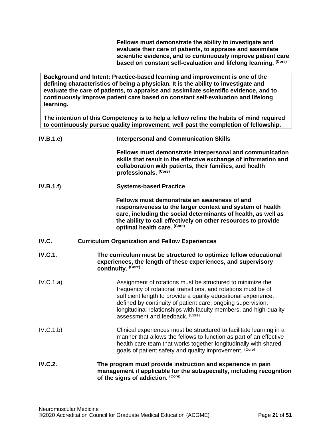**Fellows must demonstrate the ability to investigate and evaluate their care of patients, to appraise and assimilate scientific evidence, and to continuously improve patient care based on constant self-evaluation and lifelong learning. (Core)**

**Background and Intent: Practice-based learning and improvement is one of the defining characteristics of being a physician. It is the ability to investigate and evaluate the care of patients, to appraise and assimilate scientific evidence, and to continuously improve patient care based on constant self-evaluation and lifelong learning.**

**The intention of this Competency is to help a fellow refine the habits of mind required to continuously pursue quality improvement, well past the completion of fellowship.**

<span id="page-20-0"></span>

| IV.B.1.e       | <b>Interpersonal and Communication Skills</b>                                                                                                                                                                                                                                                                                                                        |
|----------------|----------------------------------------------------------------------------------------------------------------------------------------------------------------------------------------------------------------------------------------------------------------------------------------------------------------------------------------------------------------------|
|                | Fellows must demonstrate interpersonal and communication<br>skills that result in the effective exchange of information and<br>collaboration with patients, their families, and health<br>professionals. (Core)                                                                                                                                                      |
| IV.B.1.f)      | <b>Systems-based Practice</b>                                                                                                                                                                                                                                                                                                                                        |
|                | Fellows must demonstrate an awareness of and<br>responsiveness to the larger context and system of health<br>care, including the social determinants of health, as well as<br>the ability to call effectively on other resources to provide<br>optimal health care. (Core)                                                                                           |
| IV.C.          | <b>Curriculum Organization and Fellow Experiences</b>                                                                                                                                                                                                                                                                                                                |
| <b>IV.C.1.</b> | The curriculum must be structured to optimize fellow educational<br>experiences, the length of these experiences, and supervisory<br>continuity. (Core)                                                                                                                                                                                                              |
| IV.C.1.a)      | Assignment of rotations must be structured to minimize the<br>frequency of rotational transitions, and rotations must be of<br>sufficient length to provide a quality educational experience,<br>defined by continuity of patient care, ongoing supervision,<br>longitudinal relationships with faculty members, and high-quality<br>assessment and feedback. (Core) |
| IV.C.1.b)      | Clinical experiences must be structured to facilitate learning in a<br>manner that allows the fellows to function as part of an effective<br>health care team that works together longitudinally with shared<br>goals of patient safety and quality improvement. (Core)                                                                                              |
| <b>IV.C.2.</b> | The program must provide instruction and experience in pain<br>management if applicable for the subspecialty, including recognition<br>of the signs of addiction. (Core)                                                                                                                                                                                             |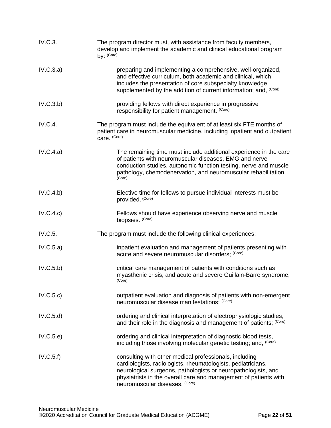| IV.C.3.        | The program director must, with assistance from faculty members,<br>develop and implement the academic and clinical educational program<br>by: (Core)                                                                                                                                         |
|----------------|-----------------------------------------------------------------------------------------------------------------------------------------------------------------------------------------------------------------------------------------------------------------------------------------------|
| IV.C.3.a)      | preparing and implementing a comprehensive, well-organized,<br>and effective curriculum, both academic and clinical, which<br>includes the presentation of core subspecialty knowledge<br>supplemented by the addition of current information; and, (Core)                                    |
| IV.C.3.b)      | providing fellows with direct experience in progressive<br>responsibility for patient management. (Core)                                                                                                                                                                                      |
| <b>IV.C.4.</b> | The program must include the equivalent of at least six FTE months of<br>patient care in neuromuscular medicine, including inpatient and outpatient<br>care. (Core)                                                                                                                           |
| IV.C.4.a)      | The remaining time must include additional experience in the care<br>of patients with neuromuscular diseases, EMG and nerve<br>conduction studies, autonomic function testing, nerve and muscle<br>pathology, chemodenervation, and neuromuscular rehabilitation.<br>(Core)                   |
| IV.C.4.b)      | Elective time for fellows to pursue individual interests must be<br>provided. (Core)                                                                                                                                                                                                          |
| IV.C.4.c)      | Fellows should have experience observing nerve and muscle<br>biopsies. (Core)                                                                                                                                                                                                                 |
| IV.C.5.        | The program must include the following clinical experiences:                                                                                                                                                                                                                                  |
| IV.C.5.a)      | inpatient evaluation and management of patients presenting with<br>acute and severe neuromuscular disorders; (Core)                                                                                                                                                                           |
| IV.C.5.b)      | critical care management of patients with conditions such as<br>myasthenic crisis, and acute and severe Guillain-Barre syndrome;<br>(Core)                                                                                                                                                    |
| IV.C.5.c)      | outpatient evaluation and diagnosis of patients with non-emergent<br>neuromuscular disease manifestations; (Core)                                                                                                                                                                             |
| IV.C.5.d)      | ordering and clinical interpretation of electrophysiologic studies,<br>and their role in the diagnosis and management of patients; (Core)                                                                                                                                                     |
| IV.C.5.e)      | ordering and clinical interpretation of diagnostic blood tests,<br>including those involving molecular genetic testing; and, <sup>(Core)</sup>                                                                                                                                                |
| IV.C.5.f)      | consulting with other medical professionals, including<br>cardiologists, radiologists, rheumatologists, pediatricians,<br>neurological surgeons, pathologists or neuropathologists, and<br>physiatrists in the overall care and management of patients with<br>neuromuscular diseases. (Core) |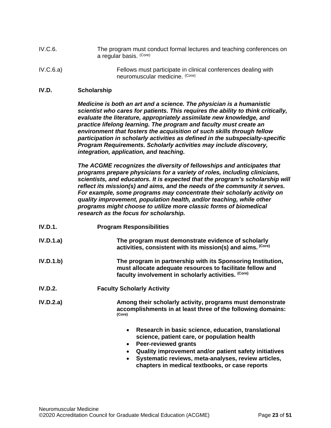- IV.C.6. The program must conduct formal lectures and teaching conferences on a regular basis. (Core)
- IV.C.6.a) Fellows must participate in clinical conferences dealing with neuromuscular medicine. (Core)

#### <span id="page-22-0"></span>**IV.D. Scholarship**

*Medicine is both an art and a science. The physician is a humanistic scientist who cares for patients. This requires the ability to think critically, evaluate the literature, appropriately assimilate new knowledge, and practice lifelong learning. The program and faculty must create an environment that fosters the acquisition of such skills through fellow participation in scholarly activities as defined in the subspecialty-specific Program Requirements. Scholarly activities may include discovery, integration, application, and teaching.*

*The ACGME recognizes the diversity of fellowships and anticipates that programs prepare physicians for a variety of roles, including clinicians, scientists, and educators. It is expected that the program's scholarship will reflect its mission(s) and aims, and the needs of the community it serves. For example, some programs may concentrate their scholarly activity on quality improvement, population health, and/or teaching, while other programs might choose to utilize more classic forms of biomedical research as the focus for scholarship.*

- **IV.D.1. Program Responsibilities**
- **IV.D.1.a) The program must demonstrate evidence of scholarly activities, consistent with its mission(s) and aims. (Core)**
- **IV.D.1.b) The program in partnership with its Sponsoring Institution, must allocate adequate resources to facilitate fellow and faculty involvement in scholarly activities. (Core)**
- **IV.D.2. Faculty Scholarly Activity**

**IV.D.2.a) Among their scholarly activity, programs must demonstrate accomplishments in at least three of the following domains: (Core)**

- **Research in basic science, education, translational science, patient care, or population health**
- **Peer-reviewed grants**
- **Quality improvement and/or patient safety initiatives**
- **Systematic reviews, meta-analyses, review articles, chapters in medical textbooks, or case reports**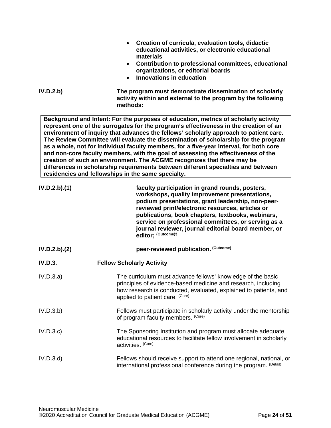| IV.D.2.b)      | Creation of curricula, evaluation tools, didactic<br>educational activities, or electronic educational<br>materials<br>• Contribution to professional committees, educational<br>organizations, or editorial boards<br><b>Innovations in education</b><br>$\bullet$<br>The program must demonstrate dissemination of scholarly                                                                                                                                                                                                                                                                                                                                                                                                                                     |
|----------------|--------------------------------------------------------------------------------------------------------------------------------------------------------------------------------------------------------------------------------------------------------------------------------------------------------------------------------------------------------------------------------------------------------------------------------------------------------------------------------------------------------------------------------------------------------------------------------------------------------------------------------------------------------------------------------------------------------------------------------------------------------------------|
|                | activity within and external to the program by the following<br>methods:                                                                                                                                                                                                                                                                                                                                                                                                                                                                                                                                                                                                                                                                                           |
|                | Background and Intent: For the purposes of education, metrics of scholarly activity<br>represent one of the surrogates for the program's effectiveness in the creation of an<br>environment of inquiry that advances the fellows' scholarly approach to patient care.<br>The Review Committee will evaluate the dissemination of scholarship for the program<br>as a whole, not for individual faculty members, for a five-year interval, for both core<br>and non-core faculty members, with the goal of assessing the effectiveness of the<br>creation of such an environment. The ACGME recognizes that there may be<br>differences in scholarship requirements between different specialties and between<br>residencies and fellowships in the same specialty. |
| IV.D.2.b).(1)  | faculty participation in grand rounds, posters,<br>workshops, quality improvement presentations,<br>podium presentations, grant leadership, non-peer-<br>reviewed print/electronic resources, articles or<br>publications, book chapters, textbooks, webinars,<br>service on professional committees, or serving as a<br>journal reviewer, journal editorial board member, or<br>editor; (Outcome)#                                                                                                                                                                                                                                                                                                                                                                |
| IV.D.2.b).(2)  | peer-reviewed publication. (Outcome)                                                                                                                                                                                                                                                                                                                                                                                                                                                                                                                                                                                                                                                                                                                               |
| <b>IV.D.3.</b> | <b>Fellow Scholarly Activity</b>                                                                                                                                                                                                                                                                                                                                                                                                                                                                                                                                                                                                                                                                                                                                   |
| IV.D.3.a)      | The curriculum must advance fellows' knowledge of the basic<br>principles of evidence-based medicine and research, including<br>how research is conducted, evaluated, explained to patients, and<br>applied to patient care. (Core)                                                                                                                                                                                                                                                                                                                                                                                                                                                                                                                                |
| IV.D.3.b)      | Fellows must participate in scholarly activity under the mentorship<br>of program faculty members. (Core)                                                                                                                                                                                                                                                                                                                                                                                                                                                                                                                                                                                                                                                          |
| IV.D.3.c       | The Sponsoring Institution and program must allocate adequate<br>educational resources to facilitate fellow involvement in scholarly<br>activities. (Core)                                                                                                                                                                                                                                                                                                                                                                                                                                                                                                                                                                                                         |
| IV.D.3.d       | Fellows should receive support to attend one regional, national, or<br>international professional conference during the program. (Detail)                                                                                                                                                                                                                                                                                                                                                                                                                                                                                                                                                                                                                          |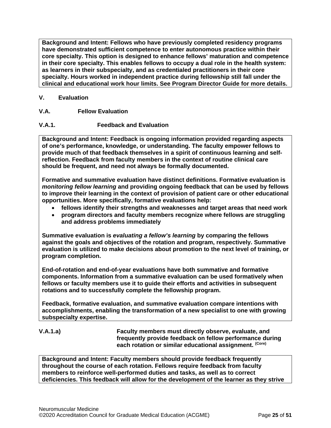**Background and Intent: Fellows who have previously completed residency programs have demonstrated sufficient competence to enter autonomous practice within their core specialty. This option is designed to enhance fellows' maturation and competence in their core specialty. This enables fellows to occupy a dual role in the health system: as learners in their subspecialty, and as credentialed practitioners in their core specialty. Hours worked in independent practice during fellowship still fall under the clinical and educational work hour limits. See Program Director Guide for more details.**

# <span id="page-24-0"></span>**V. Evaluation**

# <span id="page-24-1"></span>**V.A. Fellow Evaluation**

# **V.A.1. Feedback and Evaluation**

**Background and Intent: Feedback is ongoing information provided regarding aspects of one's performance, knowledge, or understanding. The faculty empower fellows to provide much of that feedback themselves in a spirit of continuous learning and selfreflection. Feedback from faculty members in the context of routine clinical care should be frequent, and need not always be formally documented.**

**Formative and summative evaluation have distinct definitions. Formative evaluation is**  *monitoring fellow learning* **and providing ongoing feedback that can be used by fellows to improve their learning in the context of provision of patient care or other educational opportunities. More specifically, formative evaluations help:**

- **fellows identify their strengths and weaknesses and target areas that need work**
- **program directors and faculty members recognize where fellows are struggling and address problems immediately**

**Summative evaluation is** *evaluating a fellow's learning* **by comparing the fellows against the goals and objectives of the rotation and program, respectively. Summative evaluation is utilized to make decisions about promotion to the next level of training, or program completion.**

**End-of-rotation and end-of-year evaluations have both summative and formative components. Information from a summative evaluation can be used formatively when fellows or faculty members use it to guide their efforts and activities in subsequent rotations and to successfully complete the fellowship program.**

**Feedback, formative evaluation, and summative evaluation compare intentions with accomplishments, enabling the transformation of a new specialist to one with growing subspecialty expertise.** 

**V.A.1.a) Faculty members must directly observe, evaluate, and frequently provide feedback on fellow performance during each rotation or similar educational assignment. (Core)**

**Background and Intent: Faculty members should provide feedback frequently throughout the course of each rotation. Fellows require feedback from faculty members to reinforce well-performed duties and tasks, as well as to correct deficiencies. This feedback will allow for the development of the learner as they strive**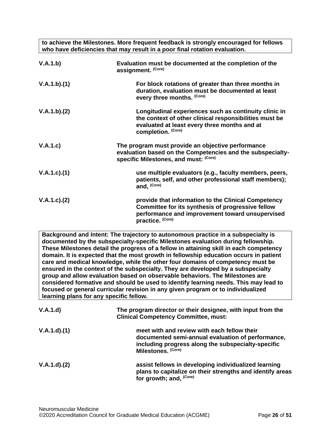**to achieve the Milestones. More frequent feedback is strongly encouraged for fellows who have deficiencies that may result in a poor final rotation evaluation.**

| V.A.1.b)           | Evaluation must be documented at the completion of the<br>assignment. (Core)                                                                                                          |
|--------------------|---------------------------------------------------------------------------------------------------------------------------------------------------------------------------------------|
| V.A.1.b)(1)        | For block rotations of greater than three months in<br>duration, evaluation must be documented at least<br>every three months. (Core)                                                 |
| V.A.1.b)(2)        | Longitudinal experiences such as continuity clinic in<br>the context of other clinical responsibilities must be<br>evaluated at least every three months and at<br>completion. (Core) |
| V.A.1.c)           | The program must provide an objective performance<br>evaluation based on the Competencies and the subspecialty-<br>specific Milestones, and must: (Core)                              |
| V.A.1.c)(1)        | use multiple evaluators (e.g., faculty members, peers,<br>patients, self, and other professional staff members);<br>and, (Core)                                                       |
| $V.A.1.c$ ). $(2)$ | provide that information to the Clinical Competency<br>Committee for its synthesis of progressive fellow<br>performance and improvement toward unsupervised<br>practice. (Core)       |

**Background and Intent: The trajectory to autonomous practice in a subspecialty is documented by the subspecialty-specific Milestones evaluation during fellowship. These Milestones detail the progress of a fellow in attaining skill in each competency domain. It is expected that the most growth in fellowship education occurs in patient care and medical knowledge, while the other four domains of competency must be ensured in the context of the subspecialty. They are developed by a subspecialty group and allow evaluation based on observable behaviors. The Milestones are considered formative and should be used to identify learning needs. This may lead to focused or general curricular revision in any given program or to individualized learning plans for any specific fellow.**

| V.A.1.d)    | The program director or their designee, with input from the<br><b>Clinical Competency Committee, must:</b>                                                                   |
|-------------|------------------------------------------------------------------------------------------------------------------------------------------------------------------------------|
| V.A.1.d)(1) | meet with and review with each fellow their<br>documented semi-annual evaluation of performance,<br>including progress along the subspecialty-specific<br>Milestones. (Core) |
| V.A.1.d)(2) | assist fellows in developing individualized learning<br>plans to capitalize on their strengths and identify areas<br>for growth; and, (Core)                                 |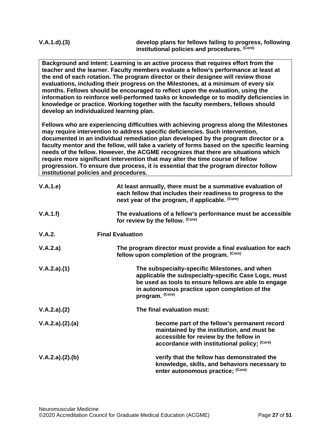**V.A.1.d).(3) develop plans for fellows failing to progress, following institutional policies and procedures. (Core)**

**Background and Intent: Learning is an active process that requires effort from the teacher and the learner. Faculty members evaluate a fellow's performance at least at the end of each rotation. The program director or their designee will review those evaluations, including their progress on the Milestones, at a minimum of every six months. Fellows should be encouraged to reflect upon the evaluation, using the information to reinforce well-performed tasks or knowledge or to modify deficiencies in knowledge or practice. Working together with the faculty members, fellows should develop an individualized learning plan.**

**Fellows who are experiencing difficulties with achieving progress along the Milestones may require intervention to address specific deficiencies. Such intervention, documented in an individual remediation plan developed by the program director or a faculty mentor and the fellow, will take a variety of forms based on the specific learning needs of the fellow. However, the ACGME recognizes that there are situations which require more significant intervention that may alter the time course of fellow progression. To ensure due process, it is essential that the program director follow institutional policies and procedures.**

| V.A.1.e)        | At least annually, there must be a summative evaluation of<br>each fellow that includes their readiness to progress to the<br>next year of the program, if applicable. (Core)                                                       |
|-----------------|-------------------------------------------------------------------------------------------------------------------------------------------------------------------------------------------------------------------------------------|
| V.A.1.f)        | The evaluations of a fellow's performance must be accessible<br>for review by the fellow. (Core)                                                                                                                                    |
| V.A.2.          | <b>Final Evaluation</b>                                                                                                                                                                                                             |
| V.A.2.a)        | The program director must provide a final evaluation for each<br>fellow upon completion of the program. (Core)                                                                                                                      |
| V.A.2.a)(1)     | The subspecialty-specific Milestones, and when<br>applicable the subspecialty-specific Case Logs, must<br>be used as tools to ensure fellows are able to engage<br>in autonomous practice upon completion of the<br>program. (Core) |
| V.A.2.a)(2)     | The final evaluation must:                                                                                                                                                                                                          |
| V.A.2.a)(2).(a) | become part of the fellow's permanent record<br>maintained by the institution, and must be<br>accessible for review by the fellow in<br>accordance with institutional policy; (Core)                                                |
| V.A.2.a)(2).(b) | verify that the fellow has demonstrated the<br>knowledge, skills, and behaviors necessary to<br>enter autonomous practice; (Core)                                                                                                   |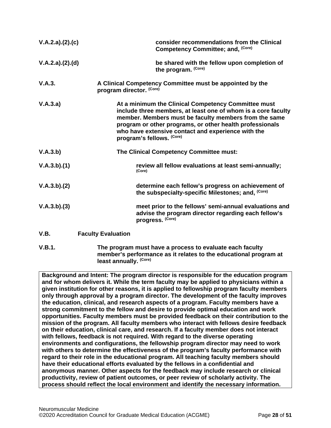| V.A.2.a)(2).(c) |                           | consider recommendations from the Clinical<br>Competency Committee; and, (Core)                                                                                                                                                                                                                                              |
|-----------------|---------------------------|------------------------------------------------------------------------------------------------------------------------------------------------------------------------------------------------------------------------------------------------------------------------------------------------------------------------------|
| V.A.2.a)(2).(d) |                           | be shared with the fellow upon completion of<br>the program. (Core)                                                                                                                                                                                                                                                          |
| V.A.3.          | program director. (Core)  | A Clinical Competency Committee must be appointed by the                                                                                                                                                                                                                                                                     |
| V.A.3.a)        |                           | At a minimum the Clinical Competency Committee must<br>include three members, at least one of whom is a core faculty<br>member. Members must be faculty members from the same<br>program or other programs, or other health professionals<br>who have extensive contact and experience with the<br>program's fellows. (Core) |
| V.A.3.b)        |                           | The Clinical Competency Committee must:                                                                                                                                                                                                                                                                                      |
| V.A.3.b)(1)     |                           | review all fellow evaluations at least semi-annually;<br>(Core)                                                                                                                                                                                                                                                              |
| V.A.3.b)(2)     |                           | determine each fellow's progress on achievement of<br>the subspecialty-specific Milestones; and, (Core)                                                                                                                                                                                                                      |
| V.A.3.b)(3)     |                           | meet prior to the fellows' semi-annual evaluations and<br>advise the program director regarding each fellow's<br>progress. (Core)                                                                                                                                                                                            |
| V.B.            | <b>Faculty Evaluation</b> |                                                                                                                                                                                                                                                                                                                              |

<span id="page-27-0"></span>**V.B.1. The program must have a process to evaluate each faculty member's performance as it relates to the educational program at least annually. (Core)**

**Background and Intent: The program director is responsible for the education program and for whom delivers it. While the term faculty may be applied to physicians within a given institution for other reasons, it is applied to fellowship program faculty members only through approval by a program director. The development of the faculty improves the education, clinical, and research aspects of a program. Faculty members have a strong commitment to the fellow and desire to provide optimal education and work opportunities. Faculty members must be provided feedback on their contribution to the mission of the program. All faculty members who interact with fellows desire feedback on their education, clinical care, and research. If a faculty member does not interact with fellows, feedback is not required. With regard to the diverse operating environments and configurations, the fellowship program director may need to work with others to determine the effectiveness of the program's faculty performance with regard to their role in the educational program. All teaching faculty members should have their educational efforts evaluated by the fellows in a confidential and anonymous manner. Other aspects for the feedback may include research or clinical productivity, review of patient outcomes, or peer review of scholarly activity. The process should reflect the local environment and identify the necessary information.**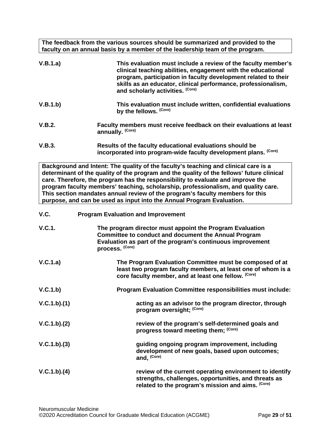**The feedback from the various sources should be summarized and provided to the faculty on an annual basis by a member of the leadership team of the program.**

<span id="page-28-0"></span>

| V.B.1.a)    | This evaluation must include a review of the faculty member's<br>clinical teaching abilities, engagement with the educational<br>program, participation in faculty development related to their<br>skills as an educator, clinical performance, professionalism,<br>and scholarly activities. (Core)                                                                                                                                                                                                                |
|-------------|---------------------------------------------------------------------------------------------------------------------------------------------------------------------------------------------------------------------------------------------------------------------------------------------------------------------------------------------------------------------------------------------------------------------------------------------------------------------------------------------------------------------|
| V.B.1.b)    | This evaluation must include written, confidential evaluations<br>by the fellows. (Core)                                                                                                                                                                                                                                                                                                                                                                                                                            |
| V.B.2.      | Faculty members must receive feedback on their evaluations at least<br>annually. (Core)                                                                                                                                                                                                                                                                                                                                                                                                                             |
| V.B.3.      | Results of the faculty educational evaluations should be<br>incorporated into program-wide faculty development plans. (Core)                                                                                                                                                                                                                                                                                                                                                                                        |
|             | Background and Intent: The quality of the faculty's teaching and clinical care is a<br>determinant of the quality of the program and the quality of the fellows' future clinical<br>care. Therefore, the program has the responsibility to evaluate and improve the<br>program faculty members' teaching, scholarship, professionalism, and quality care.<br>This section mandates annual review of the program's faculty members for this<br>purpose, and can be used as input into the Annual Program Evaluation. |
| V.C.        | <b>Program Evaluation and Improvement</b>                                                                                                                                                                                                                                                                                                                                                                                                                                                                           |
| V.C.1.      | The program director must appoint the Program Evaluation<br><b>Committee to conduct and document the Annual Program</b><br>Evaluation as part of the program's continuous improvement<br>process. (Core)                                                                                                                                                                                                                                                                                                            |
| V.C.1.a)    | The Program Evaluation Committee must be composed of at<br>least two program faculty members, at least one of whom is a<br>core faculty member, and at least one fellow. (Core)                                                                                                                                                                                                                                                                                                                                     |
| V.C.1.b)    | Program Evaluation Committee responsibilities must include:                                                                                                                                                                                                                                                                                                                                                                                                                                                         |
| V.C.1.b)(1) | acting as an advisor to the program director, through<br>program oversight; (Core)                                                                                                                                                                                                                                                                                                                                                                                                                                  |
| V.C.1.b)(2) | review of the program's self-determined goals and<br>progress toward meeting them; (Core)                                                                                                                                                                                                                                                                                                                                                                                                                           |
| V.C.1.b)(3) | guiding ongoing program improvement, including<br>development of new goals, based upon outcomes;<br>and, (Core)                                                                                                                                                                                                                                                                                                                                                                                                     |
| V.C.1.b)(4) | review of the current operating environment to identify<br>strengths, challenges, opportunities, and threats as<br>related to the program's mission and aims. (Core)                                                                                                                                                                                                                                                                                                                                                |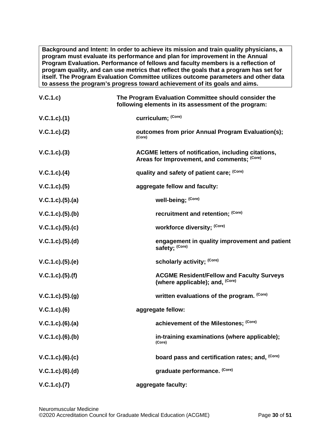**Background and Intent: In order to achieve its mission and train quality physicians, a program must evaluate its performance and plan for improvement in the Annual Program Evaluation. Performance of fellows and faculty members is a reflection of program quality, and can use metrics that reflect the goals that a program has set for itself. The Program Evaluation Committee utilizes outcome parameters and other data to assess the program's progress toward achievement of its goals and aims.**

| V.C.1.c)            | The Program Evaluation Committee should consider the<br>following elements in its assessment of the program: |
|---------------------|--------------------------------------------------------------------------------------------------------------|
| V.C.1.c).(1)        | curriculum; (Core)                                                                                           |
| V.C.1.c). (2)       | outcomes from prior Annual Program Evaluation(s);<br>(Core)                                                  |
| $V.C.1.c).$ (3)     | <b>ACGME letters of notification, including citations,</b><br>Areas for Improvement, and comments; (Core)    |
| $V.C.1.c).$ (4)     | quality and safety of patient care; (Core)                                                                   |
| $V.C.1.c).$ (5)     | aggregate fellow and faculty:                                                                                |
| V.C.1.c. (5). (a)   | well-being; (Core)                                                                                           |
| V.C.1.c. (5). (b)   | recruitment and retention; (Core)                                                                            |
| V.C.1.c). (5). (c)  | workforce diversity; (Core)                                                                                  |
| V.C.1.c. (5). (d)   | engagement in quality improvement and patient<br>safety; (Core)                                              |
| V.C.1.c. (5). (e)   | scholarly activity; (Core)                                                                                   |
| V.C.1.c). (5). (f)  | <b>ACGME Resident/Fellow and Faculty Surveys</b><br>(where applicable); and, <sup>(Core)</sup>               |
| V.C.1.c. (5). (g)   | written evaluations of the program. (Core)                                                                   |
| $V.C.1.c).$ (6)     | aggregate fellow:                                                                                            |
| $V.C.1.c).$ (6).(a) | achievement of the Milestones; (Core)                                                                        |
| $V.C.1.c.$ (6).(b)  | in-training examinations (where applicable);<br>(Core)                                                       |
| $V.C.1.c.$ (6).(c)  | board pass and certification rates; and, (Core)                                                              |
| $V.C.1.c.$ (6).(d)  | graduate performance. (Core)                                                                                 |
| V.C.1.c. (7)        | aggregate faculty:                                                                                           |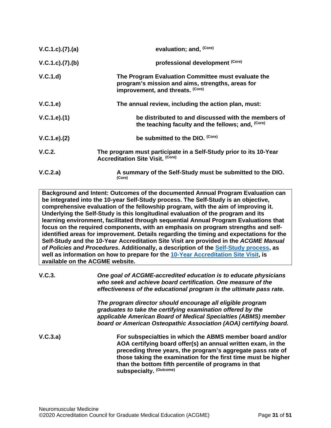| V.C.1.c. (7). (a) | evaluation; and, (Core)                                                                                                                    |
|-------------------|--------------------------------------------------------------------------------------------------------------------------------------------|
| V.C.1.c. (7). (b) | professional development (Core)                                                                                                            |
| V.C.1.d           | The Program Evaluation Committee must evaluate the<br>program's mission and aims, strengths, areas for<br>improvement, and threats. (Core) |
| V.C.1.e)          | The annual review, including the action plan, must:                                                                                        |
| V.C.1.e).(1)      | be distributed to and discussed with the members of<br>the teaching faculty and the fellows; and, (Core)                                   |
| V.C.1.e). (2)     | be submitted to the DIO. (Core)                                                                                                            |
| V.C.2.            | The program must participate in a Self-Study prior to its 10-Year<br><b>Accreditation Site Visit. (Core)</b>                               |
| V.C.2.a)          | A summary of the Self-Study must be submitted to the DIO.<br>(Core)                                                                        |

**Background and Intent: Outcomes of the documented Annual Program Evaluation can be integrated into the 10-year Self-Study process. The Self-Study is an objective, comprehensive evaluation of the fellowship program, with the aim of improving it. Underlying the Self-Study is this longitudinal evaluation of the program and its learning environment, facilitated through sequential Annual Program Evaluations that focus on the required components, with an emphasis on program strengths and selfidentified areas for improvement. Details regarding the timing and expectations for the Self-Study and the 10-Year Accreditation Site Visit are provided in the** *ACGME Manual of Policies and Procedures***. Additionally, a description of the [Self-Study process,](http://acgme.org/What-We-Do/Accreditation/Self-Study) as well as information on how to prepare for the [10-Year Accreditation Site Visit,](http://www.acgme.org/What-We-Do/Accreditation/Site-Visit/Eight-Steps-to-Prepare-for-the-10-Year-Accreditation-Site-Visit) is available on the ACGME website.**

**V.C.3.** *One goal of ACGME-accredited education is to educate physicians who seek and achieve board certification. One measure of the effectiveness of the educational program is the ultimate pass rate.*

> *The program director should encourage all eligible program graduates to take the certifying examination offered by the applicable American Board of Medical Specialties (ABMS) member board or American Osteopathic Association (AOA) certifying board.*

**V.C.3.a) For subspecialties in which the ABMS member board and/or AOA certifying board offer(s) an annual written exam, in the preceding three years, the program's aggregate pass rate of those taking the examination for the first time must be higher than the bottom fifth percentile of programs in that subspecialty. (Outcome)**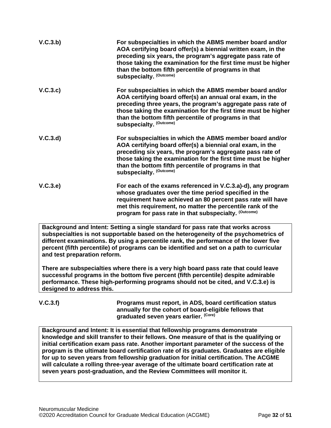| V.C.3.b) | For subspecialties in which the ABMS member board and/or<br>AOA certifying board offer(s) a biennial written exam, in the<br>preceding six years, the program's aggregate pass rate of<br>those taking the examination for the first time must be higher<br>than the bottom fifth percentile of programs in that<br>subspecialty. (Outcome) |
|----------|---------------------------------------------------------------------------------------------------------------------------------------------------------------------------------------------------------------------------------------------------------------------------------------------------------------------------------------------|
| V.C.3.c) | For subspecialties in which the ABMS member board and/or<br>AOA certifying board offer(s) an annual oral exam, in the<br>preceding three years, the program's aggregate pass rate of<br>those taking the examination for the first time must be higher<br>than the bottom fifth percentile of programs in that<br>subspecialty. (Outcome)   |
| V.C.3.d  | For subspecialties in which the ABMS member board and/or<br>AOA certifying board offer(s) a biennial oral exam, in the<br>preceding six years, the program's aggregate pass rate of<br>those taking the examination for the first time must be higher<br>than the bottom fifth percentile of programs in that<br>subspecialty. (Outcome)    |
| V.C.3.e) | For each of the exams referenced in V.C.3.a)-d), any program<br>whose graduates over the time period specified in the<br>requirement have achieved an 80 percent pass rate will have<br>met this requirement, no matter the percentile rank of the<br>program for pass rate in that subspecialty. (Outcome)                                 |

**Background and Intent: Setting a single standard for pass rate that works across subspecialties is not supportable based on the heterogeneity of the psychometrics of different examinations. By using a percentile rank, the performance of the lower five percent (fifth percentile) of programs can be identified and set on a path to curricular and test preparation reform.**

**There are subspecialties where there is a very high board pass rate that could leave successful programs in the bottom five percent (fifth percentile) despite admirable performance. These high-performing programs should not be cited, and V.C.3.e) is designed to address this.**

**V.C.3.f) Programs must report, in ADS, board certification status annually for the cohort of board-eligible fellows that graduated seven years earlier. (Core)**

**Background and Intent: It is essential that fellowship programs demonstrate knowledge and skill transfer to their fellows. One measure of that is the qualifying or initial certification exam pass rate. Another important parameter of the success of the program is the ultimate board certification rate of its graduates. Graduates are eligible for up to seven years from fellowship graduation for initial certification. The ACGME will calculate a rolling three-year average of the ultimate board certification rate at seven years post-graduation, and the Review Committees will monitor it.**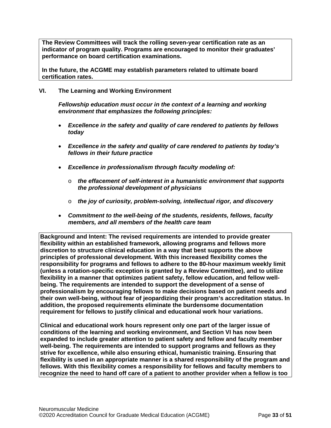**The Review Committees will track the rolling seven-year certification rate as an indicator of program quality. Programs are encouraged to monitor their graduates' performance on board certification examinations.**

**In the future, the ACGME may establish parameters related to ultimate board certification rates.**

### <span id="page-32-0"></span>**VI. The Learning and Working Environment**

*Fellowship education must occur in the context of a learning and working environment that emphasizes the following principles:*

- *Excellence in the safety and quality of care rendered to patients by fellows today*
- *Excellence in the safety and quality of care rendered to patients by today's fellows in their future practice*
- *Excellence in professionalism through faculty modeling of:*
	- o *the effacement of self-interest in a humanistic environment that supports the professional development of physicians*
	- o *the joy of curiosity, problem-solving, intellectual rigor, and discovery*
- *Commitment to the well-being of the students, residents, fellows, faculty members, and all members of the health care team*

**Background and Intent: The revised requirements are intended to provide greater flexibility within an established framework, allowing programs and fellows more discretion to structure clinical education in a way that best supports the above principles of professional development. With this increased flexibility comes the responsibility for programs and fellows to adhere to the 80-hour maximum weekly limit (unless a rotation-specific exception is granted by a Review Committee), and to utilize flexibility in a manner that optimizes patient safety, fellow education, and fellow wellbeing. The requirements are intended to support the development of a sense of professionalism by encouraging fellows to make decisions based on patient needs and their own well-being, without fear of jeopardizing their program's accreditation status. In addition, the proposed requirements eliminate the burdensome documentation requirement for fellows to justify clinical and educational work hour variations.**

**Clinical and educational work hours represent only one part of the larger issue of conditions of the learning and working environment, and Section VI has now been expanded to include greater attention to patient safety and fellow and faculty member well-being. The requirements are intended to support programs and fellows as they strive for excellence, while also ensuring ethical, humanistic training. Ensuring that flexibility is used in an appropriate manner is a shared responsibility of the program and fellows. With this flexibility comes a responsibility for fellows and faculty members to recognize the need to hand off care of a patient to another provider when a fellow is too**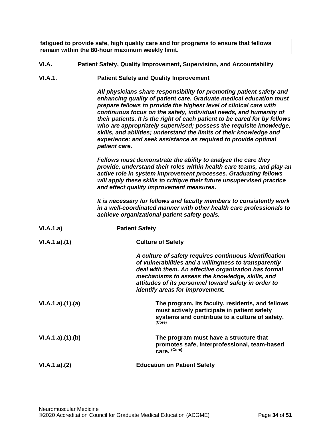**fatigued to provide safe, high quality care and for programs to ensure that fellows remain within the 80-hour maximum weekly limit.**

- <span id="page-33-0"></span>**VI.A. Patient Safety, Quality Improvement, Supervision, and Accountability**
- **VI.A.1. Patient Safety and Quality Improvement**

*All physicians share responsibility for promoting patient safety and enhancing quality of patient care. Graduate medical education must prepare fellows to provide the highest level of clinical care with continuous focus on the safety, individual needs, and humanity of their patients. It is the right of each patient to be cared for by fellows who are appropriately supervised; possess the requisite knowledge, skills, and abilities; understand the limits of their knowledge and experience; and seek assistance as required to provide optimal patient care.*

*Fellows must demonstrate the ability to analyze the care they provide, understand their roles within health care teams, and play an active role in system improvement processes. Graduating fellows will apply these skills to critique their future unsupervised practice and effect quality improvement measures.*

*It is necessary for fellows and faculty members to consistently work in a well-coordinated manner with other health care professionals to achieve organizational patient safety goals.*

| VI.A.1.a)       | <b>Patient Safety</b>                                                                                                                                                                                                                                                                                                 |
|-----------------|-----------------------------------------------------------------------------------------------------------------------------------------------------------------------------------------------------------------------------------------------------------------------------------------------------------------------|
| VI.A.1.a)(1)    | <b>Culture of Safety</b>                                                                                                                                                                                                                                                                                              |
|                 | A culture of safety requires continuous identification<br>of vulnerabilities and a willingness to transparently<br>deal with them. An effective organization has formal<br>mechanisms to assess the knowledge, skills, and<br>attitudes of its personnel toward safety in order to<br>identify areas for improvement. |
| VI.A.1.a)(1)(a) | The program, its faculty, residents, and fellows<br>must actively participate in patient safety<br>systems and contribute to a culture of safety.<br>(Core)                                                                                                                                                           |
| VI.A.1.a)(1)(b) | The program must have a structure that<br>promotes safe, interprofessional, team-based<br>care. (Core)                                                                                                                                                                                                                |
| VI.A.1.a)(2)    | <b>Education on Patient Safety</b>                                                                                                                                                                                                                                                                                    |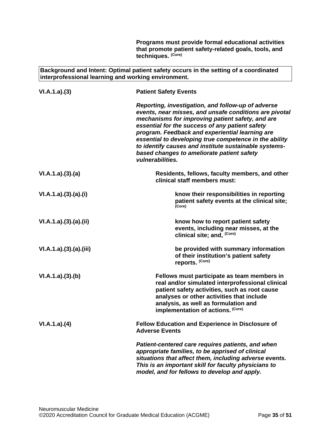**Programs must provide formal educational activities that promote patient safety-related goals, tools, and techniques. (Core)**

**Background and Intent: Optimal patient safety occurs in the setting of a coordinated interprofessional learning and working environment.**

| VI.A.1.a)(3)         | <b>Patient Safety Events</b>                                                                                                                                                                                                                                                                                                                                                                                                                                |
|----------------------|-------------------------------------------------------------------------------------------------------------------------------------------------------------------------------------------------------------------------------------------------------------------------------------------------------------------------------------------------------------------------------------------------------------------------------------------------------------|
|                      | Reporting, investigation, and follow-up of adverse<br>events, near misses, and unsafe conditions are pivotal<br>mechanisms for improving patient safety, and are<br>essential for the success of any patient safety<br>program. Feedback and experiential learning are<br>essential to developing true competence in the ability<br>to identify causes and institute sustainable systems-<br>based changes to ameliorate patient safety<br>vulnerabilities. |
| VI.A.1.a)(3)(a)      | Residents, fellows, faculty members, and other<br>clinical staff members must:                                                                                                                                                                                                                                                                                                                                                                              |
| VI.A.1.a)(3).(a).(i) | know their responsibilities in reporting<br>patient safety events at the clinical site;<br>(Core)                                                                                                                                                                                                                                                                                                                                                           |
| VI.A.1.a)(3)(a)(ii)  | know how to report patient safety<br>events, including near misses, at the<br>clinical site; and, (Core)                                                                                                                                                                                                                                                                                                                                                    |
| VI.A.1.a)(3)(a)(iii) | be provided with summary information<br>of their institution's patient safety<br>reports. (Core)                                                                                                                                                                                                                                                                                                                                                            |
| VI.A.1.a)(3)(b)      | Fellows must participate as team members in<br>real and/or simulated interprofessional clinical<br>patient safety activities, such as root cause<br>analyses or other activities that include<br>analysis, as well as formulation and<br>implementation of actions. (Core)                                                                                                                                                                                  |
| VI.A.1.a)(4)         | <b>Fellow Education and Experience in Disclosure of</b><br><b>Adverse Events</b>                                                                                                                                                                                                                                                                                                                                                                            |
|                      | Patient-centered care requires patients, and when<br>appropriate families, to be apprised of clinical<br>situations that affect them, including adverse events.<br>This is an important skill for faculty physicians to<br>model, and for fellows to develop and apply.                                                                                                                                                                                     |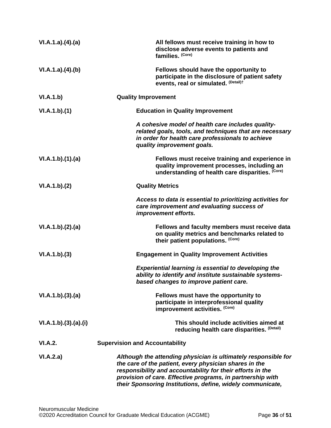| VI.A.1.a)(4)(a)      | All fellows must receive training in how to<br>disclose adverse events to patients and<br>families. (Core)                                                                                                                                                                                                         |
|----------------------|--------------------------------------------------------------------------------------------------------------------------------------------------------------------------------------------------------------------------------------------------------------------------------------------------------------------|
| VI.A.1.a)(4)(b)      | Fellows should have the opportunity to<br>participate in the disclosure of patient safety<br>events, real or simulated. (Detail)t                                                                                                                                                                                  |
| VI.A.1.b)            | <b>Quality Improvement</b>                                                                                                                                                                                                                                                                                         |
| VI.A.1.b)(1)         | <b>Education in Quality Improvement</b>                                                                                                                                                                                                                                                                            |
|                      | A cohesive model of health care includes quality-<br>related goals, tools, and techniques that are necessary<br>in order for health care professionals to achieve<br>quality improvement goals.                                                                                                                    |
| VI.A.1.b)(1)(a)      | Fellows must receive training and experience in<br>quality improvement processes, including an<br>understanding of health care disparities. (Core)                                                                                                                                                                 |
| VI.A.1.b)(2)         | <b>Quality Metrics</b>                                                                                                                                                                                                                                                                                             |
|                      | Access to data is essential to prioritizing activities for<br>care improvement and evaluating success of<br>improvement efforts.                                                                                                                                                                                   |
| VI.A.1.b)(2).(a)     | Fellows and faculty members must receive data<br>on quality metrics and benchmarks related to<br>their patient populations. (Core)                                                                                                                                                                                 |
| VI.A.1.b)(3)         | <b>Engagement in Quality Improvement Activities</b>                                                                                                                                                                                                                                                                |
|                      | <b>Experiential learning is essential to developing the</b><br>ability to identify and institute sustainable systems-<br>based changes to improve patient care.                                                                                                                                                    |
| VI.A.1.b)(3).(a)     | Fellows must have the opportunity to<br>participate in interprofessional quality<br>improvement activities. (Core)                                                                                                                                                                                                 |
| VI.A.1.b)(3).(a).(i) | This should include activities aimed at<br>reducing health care disparities. (Detail)                                                                                                                                                                                                                              |
| VI.A.2.              | <b>Supervision and Accountability</b>                                                                                                                                                                                                                                                                              |
| VI.A.2.a)            | Although the attending physician is ultimately responsible for<br>the care of the patient, every physician shares in the<br>responsibility and accountability for their efforts in the<br>provision of care. Effective programs, in partnership with<br>their Sponsoring Institutions, define, widely communicate, |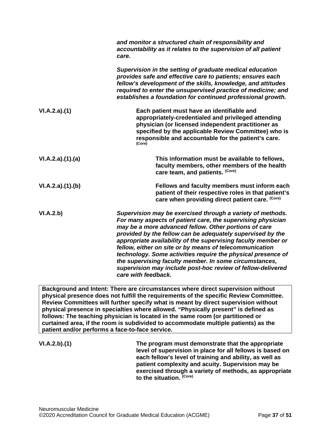|                                                 | and monitor a structured chain of responsibility and<br>accountability as it relates to the supervision of all patient<br>care.                                                                                                                                                                                                                                                                                                                                                                                                                                                              |
|-------------------------------------------------|----------------------------------------------------------------------------------------------------------------------------------------------------------------------------------------------------------------------------------------------------------------------------------------------------------------------------------------------------------------------------------------------------------------------------------------------------------------------------------------------------------------------------------------------------------------------------------------------|
|                                                 | Supervision in the setting of graduate medical education<br>provides safe and effective care to patients; ensures each<br>fellow's development of the skills, knowledge, and attitudes<br>required to enter the unsupervised practice of medicine; and<br>establishes a foundation for continued professional growth.                                                                                                                                                                                                                                                                        |
| VI.A.2.a)(1)                                    | Each patient must have an identifiable and<br>appropriately-credentialed and privileged attending<br>physician (or licensed independent practitioner as<br>specified by the applicable Review Committee) who is<br>responsible and accountable for the patient's care.<br>(Core)                                                                                                                                                                                                                                                                                                             |
| VI.A.2.a)(1).(a)                                | This information must be available to fellows,<br>faculty members, other members of the health<br>care team, and patients. (Core)                                                                                                                                                                                                                                                                                                                                                                                                                                                            |
| VI.A.2.a)(1)(b)                                 | Fellows and faculty members must inform each<br>patient of their respective roles in that patient's<br>care when providing direct patient care. (Core)                                                                                                                                                                                                                                                                                                                                                                                                                                       |
| VI.A.2.b)                                       | Supervision may be exercised through a variety of methods.<br>For many aspects of patient care, the supervising physician<br>may be a more advanced fellow. Other portions of care<br>provided by the fellow can be adequately supervised by the<br>appropriate availability of the supervising faculty member or<br>fellow, either on site or by means of telecommunication<br>technology. Some activities require the physical presence of<br>the supervising faculty member. In some circumstances,<br>supervision may include post-hoc review of fellow-delivered<br>care with feedback. |
| patient and/or performs a face-to-face service. | Background and Intent: There are circumstances where direct supervision without<br>physical presence does not fulfill the requirements of the specific Review Committee.<br>Review Committees will further specify what is meant by direct supervision without<br>physical presence in specialties where allowed. "Physically present" is defined as<br>follows: The teaching physician is located in the same room (or partitioned or<br>curtained area, if the room is subdivided to accommodate multiple patients) as the                                                                 |
| VI.A.2.b)(1)                                    | The program must demonstrate that the appropriate<br>level of supervision in place for all fellows is based on<br>each fellow's level of training and ability, as well as<br>patient complexity and acuity. Supervision may be<br>exercised through a variety of methods, as appropriate                                                                                                                                                                                                                                                                                                     |

**to the situation. (Core)**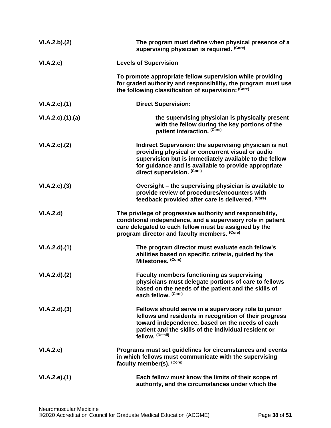| VI.A.2.b)(2)    | The program must define when physical presence of a<br>supervising physician is required. (Core)                                                                                                                                                           |
|-----------------|------------------------------------------------------------------------------------------------------------------------------------------------------------------------------------------------------------------------------------------------------------|
| VI.A.2.c)       | <b>Levels of Supervision</b>                                                                                                                                                                                                                               |
|                 | To promote appropriate fellow supervision while providing<br>for graded authority and responsibility, the program must use<br>the following classification of supervision: (Core)                                                                          |
| VI.A.2.c.(1)    | <b>Direct Supervision:</b>                                                                                                                                                                                                                                 |
| VI.A.2.c)(1)(a) | the supervising physician is physically present<br>with the fellow during the key portions of the<br>patient interaction. (Core)                                                                                                                           |
| VI.A.2.c.2()    | Indirect Supervision: the supervising physician is not<br>providing physical or concurrent visual or audio<br>supervision but is immediately available to the fellow<br>for guidance and is available to provide appropriate<br>direct supervision. (Core) |
| VI.A.2.c.3)     | Oversight – the supervising physician is available to<br>provide review of procedures/encounters with<br>feedback provided after care is delivered. (Core)                                                                                                 |
| VI.A.2.d        | The privilege of progressive authority and responsibility,<br>conditional independence, and a supervisory role in patient<br>care delegated to each fellow must be assigned by the<br>program director and faculty members. (Core)                         |
| VI.A.2.d)(1)    | The program director must evaluate each fellow's<br>abilities based on specific criteria, guided by the<br>Milestones. (Core)                                                                                                                              |
| VI.A.2.d)(2)    | <b>Faculty members functioning as supervising</b><br>physicians must delegate portions of care to fellows<br>based on the needs of the patient and the skills of<br>each fellow. (Core)                                                                    |
| VI.A.2.d)(3)    | Fellows should serve in a supervisory role to junior<br>fellows and residents in recognition of their progress<br>toward independence, based on the needs of each<br>patient and the skills of the individual resident or<br>fellow. (Detail)              |
| VI.A.2.e)       | Programs must set guidelines for circumstances and events<br>in which fellows must communicate with the supervising<br>faculty member(s). (Core)                                                                                                           |
| VI.A.2.e.(1)    | Each fellow must know the limits of their scope of<br>authority, and the circumstances under which the                                                                                                                                                     |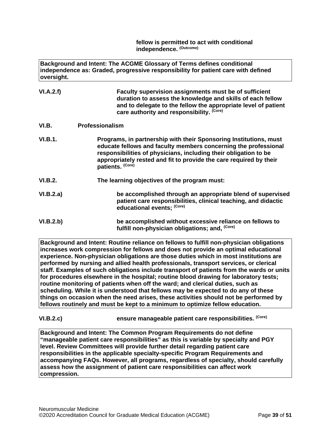**fellow is permitted to act with conditional independence. (Outcome)**

**Background and Intent: The ACGME Glossary of Terms defines conditional independence as: Graded, progressive responsibility for patient care with defined oversight.**

| VI.A.2.f) | Faculty supervision assignments must be of sufficient          |
|-----------|----------------------------------------------------------------|
|           | duration to assess the knowledge and skills of each fellow     |
|           | and to delegate to the fellow the appropriate level of patient |
|           | care authority and responsibility. (Core)                      |

- <span id="page-38-0"></span>**VI.B. Professionalism**
- **VI.B.1. Programs, in partnership with their Sponsoring Institutions, must educate fellows and faculty members concerning the professional responsibilities of physicians, including their obligation to be appropriately rested and fit to provide the care required by their patients. (Core)**
- **VI.B.2. The learning objectives of the program must:**

| VI.B.2.a) | be accomplished through an appropriate blend of supervised     |
|-----------|----------------------------------------------------------------|
|           | patient care responsibilities, clinical teaching, and didactic |
|           | educational events; (Core)                                     |

**VI.B.2.b) be accomplished without excessive reliance on fellows to**  fulfill non-physician obligations; and. <sup>(Core)</sup>

**Background and Intent: Routine reliance on fellows to fulfill non-physician obligations increases work compression for fellows and does not provide an optimal educational experience. Non-physician obligations are those duties which in most institutions are performed by nursing and allied health professionals, transport services, or clerical staff. Examples of such obligations include transport of patients from the wards or units for procedures elsewhere in the hospital; routine blood drawing for laboratory tests; routine monitoring of patients when off the ward; and clerical duties, such as scheduling. While it is understood that fellows may be expected to do any of these things on occasion when the need arises, these activities should not be performed by fellows routinely and must be kept to a minimum to optimize fellow education.**

**VI.B.2.c) ensure manageable patient care responsibilities. (Core)**

**Background and Intent: The Common Program Requirements do not define "manageable patient care responsibilities" as this is variable by specialty and PGY level. Review Committees will provide further detail regarding patient care responsibilities in the applicable specialty-specific Program Requirements and accompanying FAQs. However, all programs, regardless of specialty, should carefully assess how the assignment of patient care responsibilities can affect work compression.**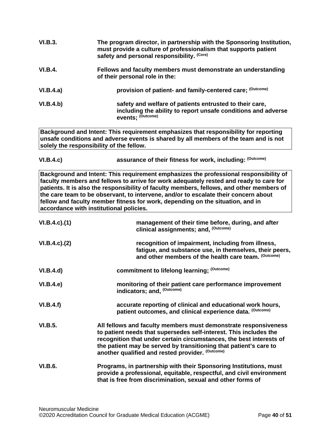| The program director, in partnership with the Sponsoring Institution,<br>must provide a culture of professionalism that supports patient<br>safety and personal responsibility. (Core) |
|----------------------------------------------------------------------------------------------------------------------------------------------------------------------------------------|
| Fellows and faculty members must demonstrate an understanding<br>of their personal role in the:                                                                                        |
| provision of patient- and family-centered care; (Outcome)                                                                                                                              |
| safety and welfare of patients entrusted to their care,<br>including the ability to report unsafe conditions and adverse<br>events: (Outcome)                                          |
|                                                                                                                                                                                        |

**Background and Intent: This requirement emphasizes that responsibility for reporting unsafe conditions and adverse events is shared by all members of the team and is not solely the responsibility of the fellow.**

| VI.B.4.c) | assurance of their fitness for work, including: (Outcome) |
|-----------|-----------------------------------------------------------|
|-----------|-----------------------------------------------------------|

**Background and Intent: This requirement emphasizes the professional responsibility of faculty members and fellows to arrive for work adequately rested and ready to care for patients. It is also the responsibility of faculty members, fellows, and other members of the care team to be observant, to intervene, and/or to escalate their concern about fellow and faculty member fitness for work, depending on the situation, and in accordance with institutional policies.**

| $VI.B.4.c$ ). $(1)$ | management of their time before, during, and after<br>clinical assignments; and, (Outcome)                                                                                                                                                                                                                                           |
|---------------------|--------------------------------------------------------------------------------------------------------------------------------------------------------------------------------------------------------------------------------------------------------------------------------------------------------------------------------------|
| $VI.B.4.c$ ). $(2)$ | recognition of impairment, including from illness,<br>fatigue, and substance use, in themselves, their peers,<br>and other members of the health care team. (Outcome)                                                                                                                                                                |
| VI.B.4.d)           | commitment to lifelong learning; (Outcome)                                                                                                                                                                                                                                                                                           |
| VI.B.4.e            | monitoring of their patient care performance improvement<br>indicators; and, (Outcome)                                                                                                                                                                                                                                               |
| VI.B.4.f)           | accurate reporting of clinical and educational work hours,<br>patient outcomes, and clinical experience data. (Outcome)                                                                                                                                                                                                              |
| <b>VI.B.5.</b>      | All fellows and faculty members must demonstrate responsiveness<br>to patient needs that supersedes self-interest. This includes the<br>recognition that under certain circumstances, the best interests of<br>the patient may be served by transitioning that patient's care to<br>another qualified and rested provider. (Outcome) |
| <b>VI.B.6.</b>      | Programs, in partnership with their Sponsoring Institutions, must<br>provide a professional, equitable, respectful, and civil environment<br>that is free from discrimination, sexual and other forms of                                                                                                                             |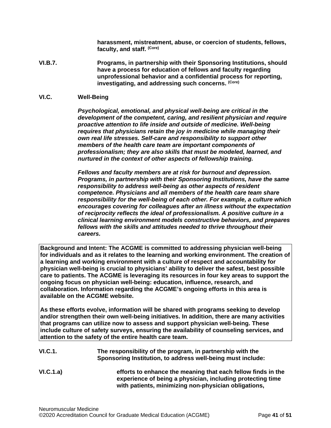**harassment, mistreatment, abuse, or coercion of students, fellows, faculty, and staff. (Core)**

**VI.B.7. Programs, in partnership with their Sponsoring Institutions, should have a process for education of fellows and faculty regarding unprofessional behavior and a confidential process for reporting, investigating, and addressing such concerns. (Core)**

#### <span id="page-40-0"></span>**VI.C. Well-Being**

*Psychological, emotional, and physical well-being are critical in the development of the competent, caring, and resilient physician and require proactive attention to life inside and outside of medicine. Well-being requires that physicians retain the joy in medicine while managing their own real life stresses. Self-care and responsibility to support other members of the health care team are important components of professionalism; they are also skills that must be modeled, learned, and nurtured in the context of other aspects of fellowship training.*

*Fellows and faculty members are at risk for burnout and depression. Programs, in partnership with their Sponsoring Institutions, have the same responsibility to address well-being as other aspects of resident competence. Physicians and all members of the health care team share responsibility for the well-being of each other. For example, a culture which encourages covering for colleagues after an illness without the expectation of reciprocity reflects the ideal of professionalism. A positive culture in a clinical learning environment models constructive behaviors, and prepares fellows with the skills and attitudes needed to thrive throughout their careers.*

**Background and Intent: The ACGME is committed to addressing physician well-being for individuals and as it relates to the learning and working environment. The creation of a learning and working environment with a culture of respect and accountability for physician well-being is crucial to physicians' ability to deliver the safest, best possible care to patients. The ACGME is leveraging its resources in four key areas to support the ongoing focus on physician well-being: education, influence, research, and collaboration. Information regarding the ACGME's ongoing efforts in this area is available on the ACGME website.**

**As these efforts evolve, information will be shared with programs seeking to develop and/or strengthen their own well-being initiatives. In addition, there are many activities that programs can utilize now to assess and support physician well-being. These include culture of safety surveys, ensuring the availability of counseling services, and attention to the safety of the entire health care team.**

- **VI.C.1. The responsibility of the program, in partnership with the Sponsoring Institution, to address well-being must include:**
- **VI.C.1.a) efforts to enhance the meaning that each fellow finds in the experience of being a physician, including protecting time with patients, minimizing non-physician obligations,**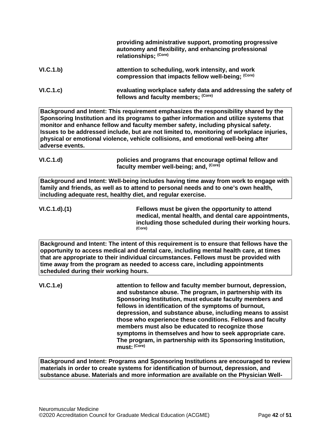|                                       | providing administrative support, promoting progressive<br>autonomy and flexibility, and enhancing professional<br>relationships; (Core)                                                                                                                                                                                                                                                                                                                                                                                                                                  |
|---------------------------------------|---------------------------------------------------------------------------------------------------------------------------------------------------------------------------------------------------------------------------------------------------------------------------------------------------------------------------------------------------------------------------------------------------------------------------------------------------------------------------------------------------------------------------------------------------------------------------|
| VI.C.1.b)                             | attention to scheduling, work intensity, and work<br>compression that impacts fellow well-being; (Core)                                                                                                                                                                                                                                                                                                                                                                                                                                                                   |
| VI.C.1.c)                             | evaluating workplace safety data and addressing the safety of<br>fellows and faculty members; (Core)                                                                                                                                                                                                                                                                                                                                                                                                                                                                      |
| adverse events.                       | Background and Intent: This requirement emphasizes the responsibility shared by the<br>Sponsoring Institution and its programs to gather information and utilize systems that<br>monitor and enhance fellow and faculty member safety, including physical safety.<br>Issues to be addressed include, but are not limited to, monitoring of workplace injuries,<br>physical or emotional violence, vehicle collisions, and emotional well-being after                                                                                                                      |
| VI.C.1.d)                             | policies and programs that encourage optimal fellow and<br>faculty member well-being; and, (Core)                                                                                                                                                                                                                                                                                                                                                                                                                                                                         |
|                                       | Background and Intent: Well-being includes having time away from work to engage with<br>family and friends, as well as to attend to personal needs and to one's own health,<br>including adequate rest, healthy diet, and regular exercise.                                                                                                                                                                                                                                                                                                                               |
| VI.C.1.d.(1)                          | Fellows must be given the opportunity to attend<br>medical, mental health, and dental care appointments,<br>including those scheduled during their working hours.<br>(Core)                                                                                                                                                                                                                                                                                                                                                                                               |
| scheduled during their working hours. | Background and Intent: The intent of this requirement is to ensure that fellows have the<br>opportunity to access medical and dental care, including mental health care, at times<br>that are appropriate to their individual circumstances. Fellows must be provided with<br>time away from the program as needed to access care, including appointments                                                                                                                                                                                                                 |
| VI.C.1.e)                             | attention to fellow and faculty member burnout, depression,<br>and substance abuse. The program, in partnership with its<br>Sponsoring Institution, must educate faculty members and<br>fellows in identification of the symptoms of burnout,<br>depression, and substance abuse, including means to assist<br>those who experience these conditions. Fellows and faculty<br>members must also be educated to recognize those<br>symptoms in themselves and how to seek appropriate care.<br>The program, in partnership with its Sponsoring Institution,<br>must: (Core) |
|                                       | Background and Intent: Programs and Sponsoring Institutions are encouraged to review<br>materials in order to create systems for identification of burnout, depression, and                                                                                                                                                                                                                                                                                                                                                                                               |

**substance abuse. Materials and more information are available on the Physician Well-**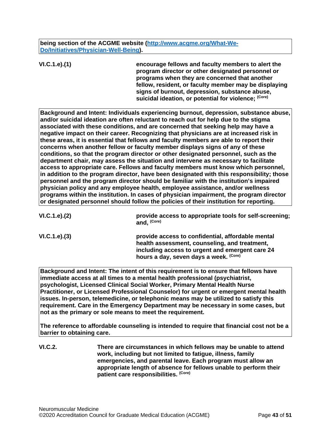**being section of the ACGME website [\(http://www.acgme.org/What-We-](http://www.acgme.org/What-We-Do/Initiatives/Physician-Well-Being)[Do/Initiatives/Physician-Well-Being\)](http://www.acgme.org/What-We-Do/Initiatives/Physician-Well-Being).**

**VI.C.1.e).(1) encourage fellows and faculty members to alert the program director or other designated personnel or programs when they are concerned that another fellow, resident, or faculty member may be displaying signs of burnout, depression, substance abuse, suicidal ideation, or potential for violence; (Core)**

**Background and Intent: Individuals experiencing burnout, depression, substance abuse, and/or suicidal ideation are often reluctant to reach out for help due to the stigma associated with these conditions, and are concerned that seeking help may have a negative impact on their career. Recognizing that physicians are at increased risk in these areas, it is essential that fellows and faculty members are able to report their concerns when another fellow or faculty member displays signs of any of these conditions, so that the program director or other designated personnel, such as the department chair, may assess the situation and intervene as necessary to facilitate access to appropriate care. Fellows and faculty members must know which personnel, in addition to the program director, have been designated with this responsibility; those personnel and the program director should be familiar with the institution's impaired physician policy and any employee health, employee assistance, and/or wellness programs within the institution. In cases of physician impairment, the program director or designated personnel should follow the policies of their institution for reporting.**

| VI.C.1.e). (2) | provide access to appropriate tools for self-screening;<br>and, <sup>(Core)</sup>                                                                                                               |
|----------------|-------------------------------------------------------------------------------------------------------------------------------------------------------------------------------------------------|
| VI.C.1.e). (3) | provide access to confidential, affordable mental<br>health assessment, counseling, and treatment,<br>including access to urgent and emergent care 24<br>hours a day, seven days a week. (Core) |

**Background and Intent: The intent of this requirement is to ensure that fellows have immediate access at all times to a mental health professional (psychiatrist, psychologist, Licensed Clinical Social Worker, Primary Mental Health Nurse Practitioner, or Licensed Professional Counselor) for urgent or emergent mental health issues. In-person, telemedicine, or telephonic means may be utilized to satisfy this requirement. Care in the Emergency Department may be necessary in some cases, but not as the primary or sole means to meet the requirement.**

**The reference to affordable counseling is intended to require that financial cost not be a barrier to obtaining care.**

**VI.C.2. There are circumstances in which fellows may be unable to attend work, including but not limited to fatigue, illness, family emergencies, and parental leave. Each program must allow an appropriate length of absence for fellows unable to perform their patient care responsibilities. (Core)**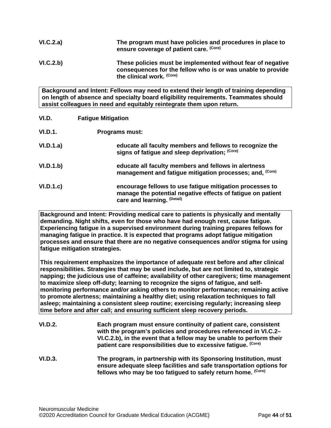| VI.C.2.a) | The program must have policies and procedures in place to<br>ensure coverage of patient care. (Core)                                                    |
|-----------|---------------------------------------------------------------------------------------------------------------------------------------------------------|
| VI.C.2.b) | These policies must be implemented without fear of negative<br>consequences for the fellow who is or was unable to provide<br>the clinical work. (Core) |

**Background and Intent: Fellows may need to extend their length of training depending on length of absence and specialty board eligibility requirements. Teammates should assist colleagues in need and equitably reintegrate them upon return.**

<span id="page-43-0"></span>

| VI.D.     | <b>Fatigue Mitigation</b>                                                                                                                              |
|-----------|--------------------------------------------------------------------------------------------------------------------------------------------------------|
| VI.D.1.   | <b>Programs must:</b>                                                                                                                                  |
| VI.D.1.a) | educate all faculty members and fellows to recognize the<br>signs of fatigue and sleep deprivation: (Core)                                             |
| VI.D.1.b) | educate all faculty members and fellows in alertness<br>management and fatigue mitigation processes; and, (Core)                                       |
| VI.D.1.c  | encourage fellows to use fatigue mitigation processes to<br>manage the potential negative effects of fatigue on patient<br>care and learning. (Detail) |

**Background and Intent: Providing medical care to patients is physically and mentally demanding. Night shifts, even for those who have had enough rest, cause fatigue. Experiencing fatigue in a supervised environment during training prepares fellows for managing fatigue in practice. It is expected that programs adopt fatigue mitigation processes and ensure that there are no negative consequences and/or stigma for using fatigue mitigation strategies.**

**This requirement emphasizes the importance of adequate rest before and after clinical responsibilities. Strategies that may be used include, but are not limited to, strategic napping; the judicious use of caffeine; availability of other caregivers; time management to maximize sleep off-duty; learning to recognize the signs of fatigue, and selfmonitoring performance and/or asking others to monitor performance; remaining active to promote alertness; maintaining a healthy diet; using relaxation techniques to fall asleep; maintaining a consistent sleep routine; exercising regularly; increasing sleep time before and after call; and ensuring sufficient sleep recovery periods.**

| <b>VI.D.2.</b> | Each program must ensure continuity of patient care, consistent<br>with the program's policies and procedures referenced in VI.C.2-<br>VI.C.2.b), in the event that a fellow may be unable to perform their<br>patient care responsibilities due to excessive fatique. (Core) |
|----------------|-------------------------------------------------------------------------------------------------------------------------------------------------------------------------------------------------------------------------------------------------------------------------------|
| <b>VI.D.3.</b> | The program, in partnership with its Sponsoring Institution, must<br>ensure adequate sleep facilities and safe transportation options for<br>fellows who may be too fatigued to safely return home. (Core)                                                                    |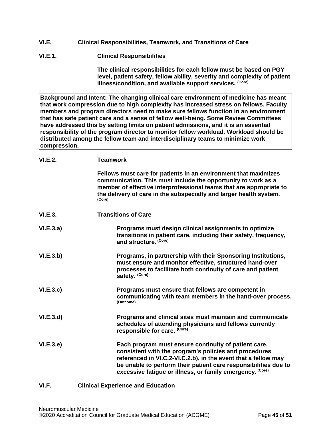- <span id="page-44-0"></span>**VI.E. Clinical Responsibilities, Teamwork, and Transitions of Care**
- **VI.E.1. Clinical Responsibilities**

**The clinical responsibilities for each fellow must be based on PGY level, patient safety, fellow ability, severity and complexity of patient illness/condition, and available support services. (Core)**

**Background and Intent: The changing clinical care environment of medicine has meant that work compression due to high complexity has increased stress on fellows. Faculty members and program directors need to make sure fellows function in an environment that has safe patient care and a sense of fellow well-being. Some Review Committees have addressed this by setting limits on patient admissions, and it is an essential responsibility of the program director to monitor fellow workload. Workload should be distributed among the fellow team and interdisciplinary teams to minimize work compression.**

| VI.E.2. | <b>Teamwork</b> |
|---------|-----------------|
|---------|-----------------|

|                  | Fellows must care for patients in an environment that maximizes<br>communication. This must include the opportunity to work as a<br>member of effective interprofessional teams that are appropriate to<br>the delivery of care in the subspecialty and larger health system.<br>(Core)                         |
|------------------|-----------------------------------------------------------------------------------------------------------------------------------------------------------------------------------------------------------------------------------------------------------------------------------------------------------------|
| VI.E.3.          | <b>Transitions of Care</b>                                                                                                                                                                                                                                                                                      |
| VI.E.3.a)        | Programs must design clinical assignments to optimize<br>transitions in patient care, including their safety, frequency,<br>and structure. (Core)                                                                                                                                                               |
| VI.E.3.b)        | Programs, in partnership with their Sponsoring Institutions,<br>must ensure and monitor effective, structured hand-over<br>processes to facilitate both continuity of care and patient<br>safety. (Core)                                                                                                        |
| VI.E.3.c         | Programs must ensure that fellows are competent in<br>communicating with team members in the hand-over process.<br>(Outcome)                                                                                                                                                                                    |
| VI.E.3.d         | Programs and clinical sites must maintain and communicate<br>schedules of attending physicians and fellows currently<br>responsible for care. (Core)                                                                                                                                                            |
| <b>VI.E.3.e)</b> | Each program must ensure continuity of patient care,<br>consistent with the program's policies and procedures<br>referenced in VI.C.2-VI.C.2.b), in the event that a fellow may<br>be unable to perform their patient care responsibilities due to<br>excessive fatigue or illness, or family emergency. (Core) |

#### <span id="page-44-1"></span>**VI.F. Clinical Experience and Education**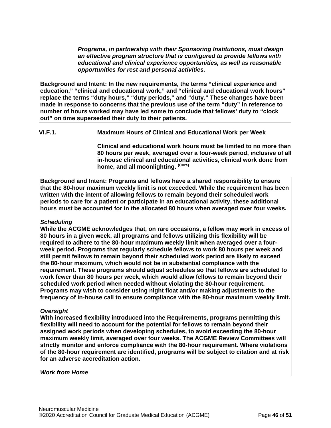*Programs, in partnership with their Sponsoring Institutions, must design an effective program structure that is configured to provide fellows with educational and clinical experience opportunities, as well as reasonable opportunities for rest and personal activities.*

**Background and Intent: In the new requirements, the terms "clinical experience and education," "clinical and educational work," and "clinical and educational work hours" replace the terms "duty hours," "duty periods," and "duty." These changes have been made in response to concerns that the previous use of the term "duty" in reference to number of hours worked may have led some to conclude that fellows' duty to "clock out" on time superseded their duty to their patients.**

**VI.F.1. Maximum Hours of Clinical and Educational Work per Week**

**Clinical and educational work hours must be limited to no more than 80 hours per week, averaged over a four-week period, inclusive of all in-house clinical and educational activities, clinical work done from home, and all moonlighting. (Core)**

**Background and Intent: Programs and fellows have a shared responsibility to ensure that the 80-hour maximum weekly limit is not exceeded. While the requirement has been written with the intent of allowing fellows to remain beyond their scheduled work periods to care for a patient or participate in an educational activity, these additional hours must be accounted for in the allocated 80 hours when averaged over four weeks.**

## *Scheduling*

**While the ACGME acknowledges that, on rare occasions, a fellow may work in excess of 80 hours in a given week, all programs and fellows utilizing this flexibility will be required to adhere to the 80-hour maximum weekly limit when averaged over a fourweek period. Programs that regularly schedule fellows to work 80 hours per week and still permit fellows to remain beyond their scheduled work period are likely to exceed the 80-hour maximum, which would not be in substantial compliance with the requirement. These programs should adjust schedules so that fellows are scheduled to work fewer than 80 hours per week, which would allow fellows to remain beyond their scheduled work period when needed without violating the 80-hour requirement. Programs may wish to consider using night float and/or making adjustments to the frequency of in-house call to ensure compliance with the 80-hour maximum weekly limit.**

## *Oversight*

**With increased flexibility introduced into the Requirements, programs permitting this flexibility will need to account for the potential for fellows to remain beyond their assigned work periods when developing schedules, to avoid exceeding the 80-hour maximum weekly limit, averaged over four weeks. The ACGME Review Committees will strictly monitor and enforce compliance with the 80-hour requirement. Where violations of the 80-hour requirement are identified, programs will be subject to citation and at risk for an adverse accreditation action.**

#### *Work from Home*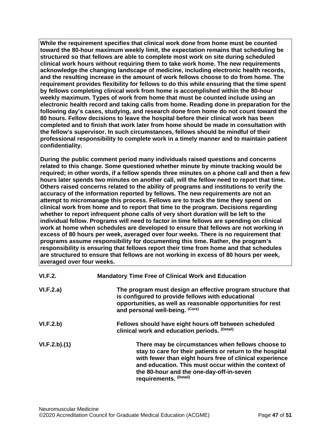**While the requirement specifies that clinical work done from home must be counted toward the 80-hour maximum weekly limit, the expectation remains that scheduling be structured so that fellows are able to complete most work on site during scheduled clinical work hours without requiring them to take work home. The new requirements acknowledge the changing landscape of medicine, including electronic health records, and the resulting increase in the amount of work fellows choose to do from home. The requirement provides flexibility for fellows to do this while ensuring that the time spent by fellows completing clinical work from home is accomplished within the 80-hour weekly maximum. Types of work from home that must be counted include using an electronic health record and taking calls from home. Reading done in preparation for the following day's cases, studying, and research done from home do not count toward the 80 hours. Fellow decisions to leave the hospital before their clinical work has been completed and to finish that work later from home should be made in consultation with the fellow's supervisor. In such circumstances, fellows should be mindful of their professional responsibility to complete work in a timely manner and to maintain patient confidentiality.**

**During the public comment period many individuals raised questions and concerns related to this change. Some questioned whether minute by minute tracking would be required; in other words, if a fellow spends three minutes on a phone call and then a few hours later spends two minutes on another call, will the fellow need to report that time. Others raised concerns related to the ability of programs and institutions to verify the accuracy of the information reported by fellows. The new requirements are not an attempt to micromanage this process. Fellows are to track the time they spend on clinical work from home and to report that time to the program. Decisions regarding whether to report infrequent phone calls of very short duration will be left to the individual fellow. Programs will need to factor in time fellows are spending on clinical work at home when schedules are developed to ensure that fellows are not working in excess of 80 hours per week, averaged over four weeks. There is no requirement that programs assume responsibility for documenting this time. Rather, the program's responsibility is ensuring that fellows report their time from home and that schedules are structured to ensure that fellows are not working in excess of 80 hours per week, averaged over four weeks.**

| VI.F.2.      | <b>Mandatory Time Free of Clinical Work and Education</b>                                                                                                                                                                                                                                               |
|--------------|---------------------------------------------------------------------------------------------------------------------------------------------------------------------------------------------------------------------------------------------------------------------------------------------------------|
| VI.F.2.a)    | The program must design an effective program structure that<br>is configured to provide fellows with educational<br>opportunities, as well as reasonable opportunities for rest<br>and personal well-being. (Core)                                                                                      |
| VI.F.2.b)    | Fellows should have eight hours off between scheduled<br>clinical work and education periods. (Detail)                                                                                                                                                                                                  |
| VI.F.2.b)(1) | There may be circumstances when fellows choose to<br>stay to care for their patients or return to the hospital<br>with fewer than eight hours free of clinical experience<br>and education. This must occur within the context of<br>the 80-hour and the one-day-off-in-seven<br>requirements. (Detail) |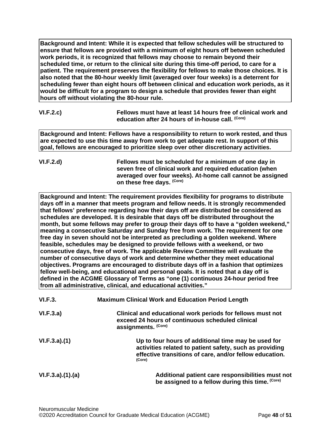**Background and Intent: While it is expected that fellow schedules will be structured to ensure that fellows are provided with a minimum of eight hours off between scheduled work periods, it is recognized that fellows may choose to remain beyond their scheduled time, or return to the clinical site during this time-off period, to care for a patient. The requirement preserves the flexibility for fellows to make those choices. It is also noted that the 80-hour weekly limit (averaged over four weeks) is a deterrent for scheduling fewer than eight hours off between clinical and education work periods, as it would be difficult for a program to design a schedule that provides fewer than eight hours off without violating the 80-hour rule.**

| VI.F.2.c) | Fellows must have at least 14 hours free of clinical work and |
|-----------|---------------------------------------------------------------|
|           | education after 24 hours of in-house call. <sup>(Core)</sup>  |

**Background and Intent: Fellows have a responsibility to return to work rested, and thus are expected to use this time away from work to get adequate rest. In support of this goal, fellows are encouraged to prioritize sleep over other discretionary activities.**

**VI.F.2.d) Fellows must be scheduled for a minimum of one day in seven free of clinical work and required education (when averaged over four weeks). At-home call cannot be assigned on these free days. (Core)**

**Background and Intent: The requirement provides flexibility for programs to distribute days off in a manner that meets program and fellow needs. It is strongly recommended that fellows' preference regarding how their days off are distributed be considered as schedules are developed. It is desirable that days off be distributed throughout the month, but some fellows may prefer to group their days off to have a "golden weekend," meaning a consecutive Saturday and Sunday free from work. The requirement for one free day in seven should not be interpreted as precluding a golden weekend. Where feasible, schedules may be designed to provide fellows with a weekend, or two consecutive days, free of work. The applicable Review Committee will evaluate the number of consecutive days of work and determine whether they meet educational objectives. Programs are encouraged to distribute days off in a fashion that optimizes fellow well-being, and educational and personal goals. It is noted that a day off is defined in the ACGME Glossary of Terms as "one (1) continuous 24-hour period free from all administrative, clinical, and educational activities."**

| VI.F.3.         | <b>Maximum Clinical Work and Education Period Length</b>                                                                                                                            |
|-----------------|-------------------------------------------------------------------------------------------------------------------------------------------------------------------------------------|
| VI.F.3.a)       | Clinical and educational work periods for fellows must not<br>exceed 24 hours of continuous scheduled clinical<br>assignments. (Core)                                               |
| VI.F.3.a)(1)    | Up to four hours of additional time may be used for<br>activities related to patient safety, such as providing<br>effective transitions of care, and/or fellow education.<br>(Core) |
| VI.F.3.a)(1)(a) | Additional patient care responsibilities must not<br>be assigned to a fellow during this time. (Core)                                                                               |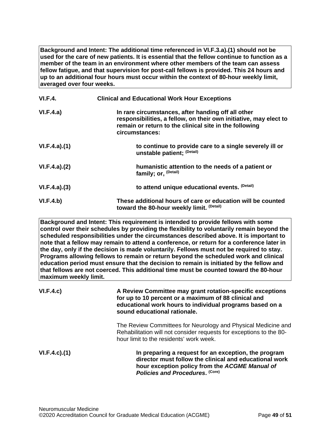**Background and Intent: The additional time referenced in VI.F.3.a).(1) should not be used for the care of new patients. It is essential that the fellow continue to function as a member of the team in an environment where other members of the team can assess fellow fatigue, and that supervision for post-call fellows is provided. This 24 hours and up to an additional four hours must occur within the context of 80-hour weekly limit, averaged over four weeks.**

| <b>VI.F.4.</b> | <b>Clinical and Educational Work Hour Exceptions</b>                                                                                                                                                |
|----------------|-----------------------------------------------------------------------------------------------------------------------------------------------------------------------------------------------------|
| VI.F.4.a)      | In rare circumstances, after handing off all other<br>responsibilities, a fellow, on their own initiative, may elect to<br>remain or return to the clinical site in the following<br>circumstances: |
| VI.F.4.a)(1)   | to continue to provide care to a single severely ill or<br>unstable patient; (Detail)                                                                                                               |
| VI.F.4.a)(2)   | humanistic attention to the needs of a patient or<br>family; or, <sup>(Detail)</sup>                                                                                                                |
| VI.F.4.a)(3)   | to attend unique educational events. (Detail)                                                                                                                                                       |
| VI.F.4.b)      | These additional hours of care or education will be counted<br>toward the 80-hour weekly limit. (Detail)                                                                                            |

**Background and Intent: This requirement is intended to provide fellows with some control over their schedules by providing the flexibility to voluntarily remain beyond the scheduled responsibilities under the circumstances described above. It is important to note that a fellow may remain to attend a conference, or return for a conference later in the day, only if the decision is made voluntarily. Fellows must not be required to stay. Programs allowing fellows to remain or return beyond the scheduled work and clinical education period must ensure that the decision to remain is initiated by the fellow and that fellows are not coerced. This additional time must be counted toward the 80-hour maximum weekly limit.**

| VI.F.4.c)          | A Review Committee may grant rotation-specific exceptions<br>for up to 10 percent or a maximum of 88 clinical and<br>educational work hours to individual programs based on a<br>sound educational rationale. |
|--------------------|---------------------------------------------------------------------------------------------------------------------------------------------------------------------------------------------------------------|
|                    | The Review Committees for Neurology and Physical Medicine and<br>Rehabilitation will not consider requests for exceptions to the 80-<br>hour limit to the residents' work week.                               |
| $VI.F.4.c$ . $(1)$ | In preparing a request for an exception, the program<br>director must follow the clinical and educational work<br>hour exception policy from the ACGME Manual of<br>Policies and Procedures. (Core)           |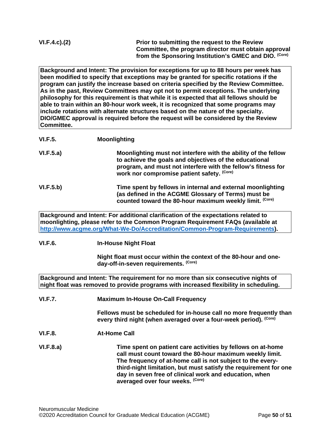| VI.F.4.c).(2) |
|---------------|
|---------------|

**Prior to submitting the request to the Review Committee, the program director must obtain approval from the Sponsoring Institution's GMEC and DIO. (Core)**

**Background and Intent: The provision for exceptions for up to 88 hours per week has been modified to specify that exceptions may be granted for specific rotations if the program can justify the increase based on criteria specified by the Review Committee. As in the past, Review Committees may opt not to permit exceptions. The underlying philosophy for this requirement is that while it is expected that all fellows should be able to train within an 80-hour work week, it is recognized that some programs may include rotations with alternate structures based on the nature of the specialty. DIO/GMEC approval is required before the request will be considered by the Review Committee.**

| <b>VI.F.5.</b> | <b>Moonlighting</b>                                                                                                                                                                                                                                  |
|----------------|------------------------------------------------------------------------------------------------------------------------------------------------------------------------------------------------------------------------------------------------------|
| VI.F.5.a)      | Moonlighting must not interfere with the ability of the fellow<br>to achieve the goals and objectives of the educational<br>program, and must not interfere with the fellow's fitness for<br>work nor compromise patient safety. (Core)              |
| VI.F.5.b)      | Time spent by fellows in internal and external moonlighting<br>(as defined in the ACGME Glossary of Terms) must be<br>counted toward the 80-hour maximum weekly limit. (Core)                                                                        |
|                | Background and Intent: For additional clarification of the expectations related to<br>moonlighting, please refer to the Common Program Requirement FAQs (available at<br>http://www.acgme.org/What-We-Do/Accreditation/Common-Program-Requirements). |

## **VI.F.6. In-House Night Float**

**Night float must occur within the context of the 80-hour and oneday-off-in-seven requirements. (Core)**

**Background and Intent: The requirement for no more than six consecutive nights of night float was removed to provide programs with increased flexibility in scheduling.**

**VI.F.7. Maximum In-House On-Call Frequency**

**Fellows must be scheduled for in-house call no more frequently than every third night (when averaged over a four-week period). (Core)**

**VI.F.8. At-Home Call**

**VI.F.8.a) Time spent on patient care activities by fellows on at-home call must count toward the 80-hour maximum weekly limit. The frequency of at-home call is not subject to the everythird-night limitation, but must satisfy the requirement for one day in seven free of clinical work and education, when averaged over four weeks. (Core)**